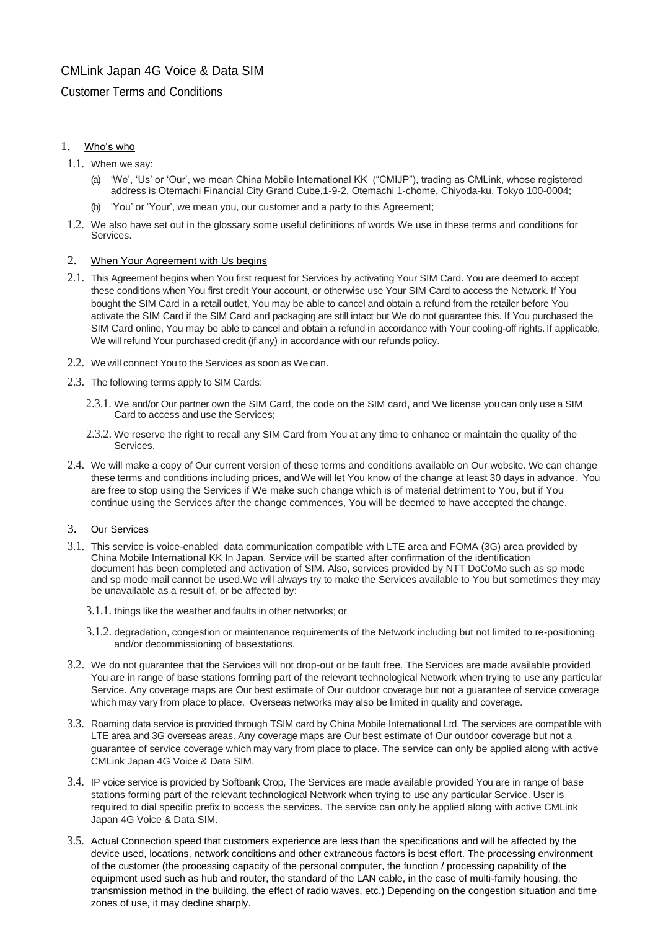# CMLink Japan 4G Voice & Data SIM

# Customer Terms and Conditions

# 1. Who's who

- 1.1. When we say:
	- (a) 'We', 'Us' or 'Our', we mean China Mobile International KK ("CMIJP"), trading as CMLink, whose registered address is Otemachi Financial City Grand Cube,1-9-2, Otemachi 1-chome, Chiyoda-ku, Tokyo 100-0004;
	- (b) 'You' or 'Your', we mean you, our customer and a party to this Agreement;
- 1.2. We also have set out in the glossary some useful definitions of words We use in these terms and conditions for **Services**

### 2. When Your Agreement with Us begins

- 2.1. This Agreement begins when You first request for Services by activating Your SIM Card. You are deemed to accept these conditions when You first credit Your account, or otherwise use Your SIM Card to access the Network. If You bought the SIM Card in a retail outlet, You may be able to cancel and obtain a refund from the retailer before You activate the SIM Card if the SIM Card and packaging are still intact but We do not guarantee this. If You purchased the SIM Card online, You may be able to cancel and obtain a refund in accordance with Your cooling-off rights. If applicable, We will refund Your purchased credit (if any) in accordance with our refunds policy.
- 2.2. We will connect You to the Services as soon as We can.
- 2.3. The following terms apply to SIM Cards:
	- 2.3.1. We and/or Our partner own the SIM Card, the code on the SIM card, and We license you can only use a SIM Card to access and use the Services;
	- 2.3.2. We reserve the right to recall any SIM Card from You at any time to enhance or maintain the quality of the Services.
- 2.4. We will make a copy of Our current version of these terms and conditions available on Our website. We can change these terms and conditions including prices, andWe will let You know of the change at least 30 days in advance. You are free to stop using the Services if We make such change which is of material detriment to You, but if You continue using the Services after the change commences, You will be deemed to have accepted the change.

### 3. Our Services

- 3.1. This service is voice-enabled data communication compatible with LTE area and FOMA (3G) area provided by China Mobile International KK In Japan. Service will be started after confirmation of the identification document has been completed and activation of SIM. Also, services provided by NTT DoCoMo such as sp mode and sp mode mail cannot be used.We will always try to make the Services available to You but sometimes they may be unavailable as a result of, or be affected by:
	- 3.1.1. things like the weather and faults in other networks; or
	- 3.1.2. degradation, congestion or maintenance requirements of the Network including but not limited to re-positioning and/or decommissioning of basestations.
- 3.2. We do not guarantee that the Services will not drop-out or be fault free. The Services are made available provided You are in range of base stations forming part of the relevant technological Network when trying to use any particular Service. Any coverage maps are Our best estimate of Our outdoor coverage but not a guarantee of service coverage which may vary from place to place. Overseas networks may also be limited in quality and coverage.
- 3.3. Roaming data service is provided through TSIM card by China Mobile International Ltd. The services are compatible with LTE area and 3G overseas areas. Any coverage maps are Our best estimate of Our outdoor coverage but not a guarantee of service coverage which may vary from place to place. The service can only be applied along with active CMLink Japan 4G Voice & Data SIM.
- 3.4. IP voice service is provided by Softbank Crop, The Services are made available provided You are in range of base stations forming part of the relevant technological Network when trying to use any particular Service. User is required to dial specific prefix to access the services. The service can only be applied along with active CMLink Japan 4G Voice & Data SIM.
- 3.5. Actual Connection speed that customers experience are less than the specifications and will be affected by the device used, locations, network conditions and other extraneous factors is best effort. The processing environment of the customer (the processing capacity of the personal computer, the function / processing capability of the equipment used such as hub and router, the standard of the LAN cable, in the case of multi-family housing, the transmission method in the building, the effect of radio waves, etc.) Depending on the congestion situation and time zones of use, it may decline sharply.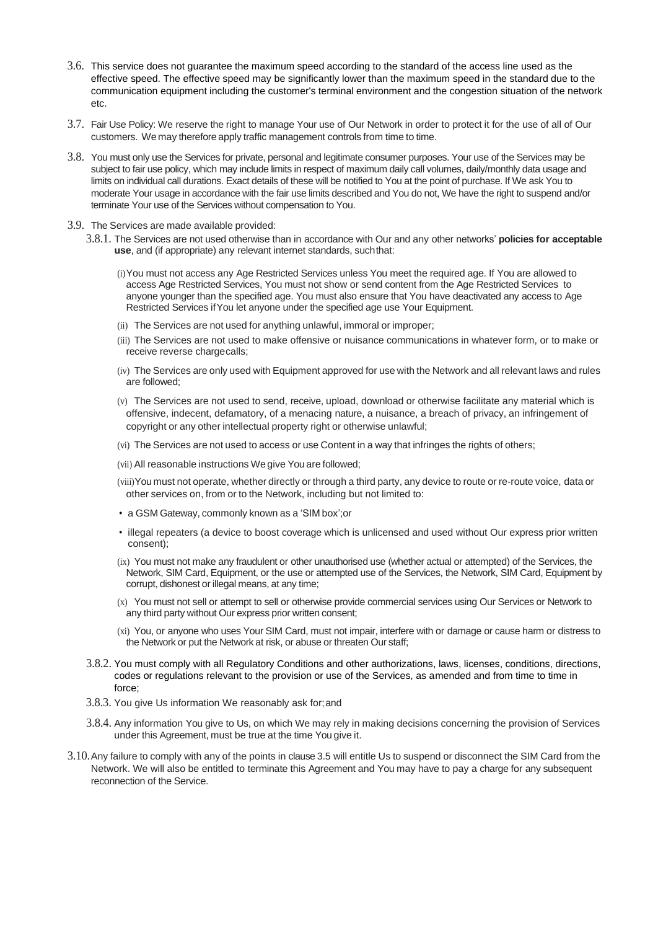- 3.6. This service does not guarantee the maximum speed according to the standard of the access line used as the effective speed. The effective speed may be significantly lower than the maximum speed in the standard due to the communication equipment including the customer's terminal environment and the congestion situation of the network etc.
- 3.7. Fair Use Policy: We reserve the right to manage Your use of Our Network in order to protect it for the use of all of Our customers. We may therefore apply traffic management controls from time to time.
- 3.8. You must only use the Services for private, personal and legitimate consumer purposes. Your use of the Services may be subject to fair use policy, which may include limits in respect of maximum daily call volumes, daily/monthly data usage and limits on individual call durations. Exact details of these will be notified to You at the point of purchase. If We ask You to moderate Your usage in accordance with the fair use limits described and You do not, We have the right to suspend and/or terminate Your use of the Services without compensation to You.
- 3.9. The Services are made available provided:
	- 3.8.1. The Services are not used otherwise than in accordance with Our and any other networks' **policies for acceptable use**, and (if appropriate) any relevant internet standards, suchthat:
		- (i)You must not access any Age Restricted Services unless You meet the required age. If You are allowed to access Age Restricted Services, You must not show or send content from the Age Restricted Services to anyone younger than the specified age. You must also ensure that You have deactivated any access to Age Restricted Services ifYou let anyone under the specified age use Your Equipment.
		- (ii) The Services are not used for anything unlawful, immoral or improper;
		- (iii) The Services are not used to make offensive or nuisance communications in whatever form, or to make or receive reverse chargecalls;
		- (iv) The Services are only used with Equipment approved for use with the Network and all relevant laws and rules are followed;
		- (v) The Services are not used to send, receive, upload, download or otherwise facilitate any material which is offensive, indecent, defamatory, of a menacing nature, a nuisance, a breach of privacy, an infringement of copyright or any other intellectual property right or otherwise unlawful;
		- (vi) The Services are not used to access or use Content in a way that infringes the rights of others;
		- (vii) All reasonable instructions We give You are followed;
		- (viii)You must not operate, whether directly or through a third party, any device to route or re-route voice, data or other services on, from or to the Network, including but not limited to:
		- a GSM Gateway, commonly known as a 'SIM box';or
		- illegal repeaters (a device to boost coverage which is unlicensed and used without Our express prior written consent);
		- (ix) You must not make any fraudulent or other unauthorised use (whether actual or attempted) of the Services, the Network, SIM Card, Equipment, or the use or attempted use of the Services, the Network, SIM Card, Equipment by corrupt, dishonest or illegal means, at any time;
		- (x) You must not sell or attempt to sell or otherwise provide commercial services using Our Services or Network to any third party without Our express prior written consent;
		- (xi) You, or anyone who uses Your SIM Card, must not impair, interfere with or damage or cause harm or distress to the Network or put the Network at risk, or abuse or threaten Our staff;
	- 3.8.2. You must comply with all Regulatory Conditions and other authorizations, laws, licenses, conditions, directions, codes or regulations relevant to the provision or use of the Services, as amended and from time to time in force;
	- 3.8.3. You give Us information We reasonably ask for;and
	- 3.8.4. Any information You give to Us, on which We may rely in making decisions concerning the provision of Services under this Agreement, must be true at the time You give it.
- 3.10.Any failure to comply with any of the points in clause 3.5 will entitle Us to suspend or disconnect the SIM Card from the Network. We will also be entitled to terminate this Agreement and You may have to pay a charge for any subsequent reconnection of the Service.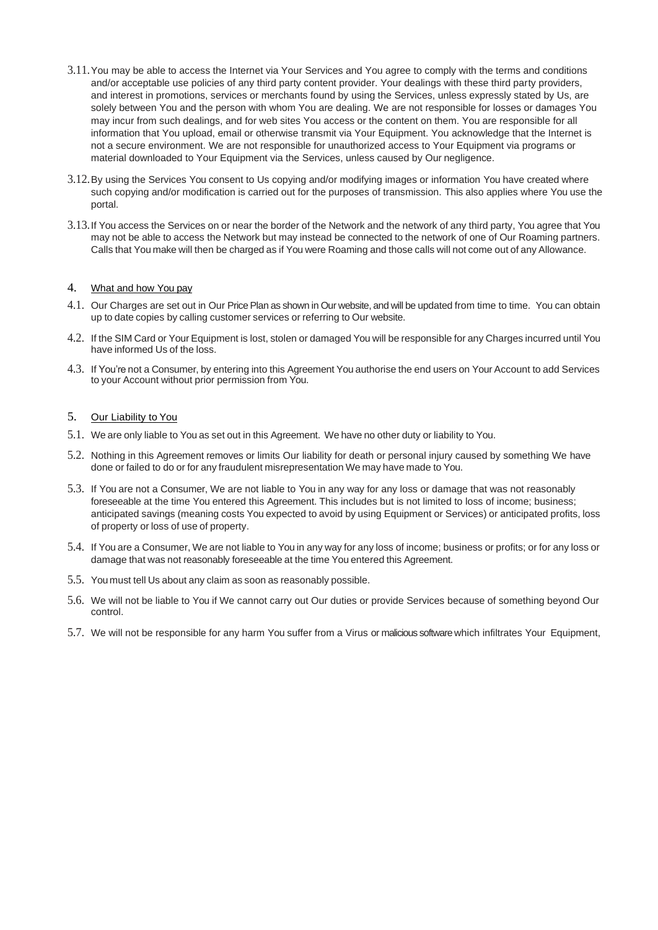- 3.11.You may be able to access the Internet via Your Services and You agree to comply with the terms and conditions and/or acceptable use policies of any third party content provider. Your dealings with these third party providers, and interest in promotions, services or merchants found by using the Services, unless expressly stated by Us, are solely between You and the person with whom You are dealing. We are not responsible for losses or damages You may incur from such dealings, and for web sites You access or the content on them. You are responsible for all information that You upload, email or otherwise transmit via Your Equipment. You acknowledge that the Internet is not a secure environment. We are not responsible for unauthorized access to Your Equipment via programs or material downloaded to Your Equipment via the Services, unless caused by Our negligence.
- 3.12.By using the Services You consent to Us copying and/or modifying images or information You have created where such copying and/or modification is carried out for the purposes of transmission. This also applies where You use the portal.
- 3.13.If You access the Services on or near the border of the Network and the network of any third party, You agree that You may not be able to access the Network but may instead be connected to the network of one of Our Roaming partners. Calls that You make will then be charged as if You were Roaming and those calls will not come out of any Allowance.

# 4. What and how You pay

- 4.1. Our Charges are set out in Our PricePlan as shown in Our website, and will be updated from time to time. You can obtain up to date copies by calling customer services or referring to Our website.
- 4.2. If the SIM Card or Your Equipment is lost, stolen or damaged You will be responsible for any Charges incurred until You have informed Us of the loss.
- 4.3. If You're not a Consumer, by entering into this Agreement You authorise the end users on Your Account to add Services to your Account without prior permission from You.

### 5. Our Liability to You

- 5.1. We are only liable to You as set out in this Agreement. We have no other duty or liability to You.
- 5.2. Nothing in this Agreement removes or limits Our liability for death or personal injury caused by something We have done or failed to do or for any fraudulent misrepresentation We may have made to You.
- 5.3. If You are not a Consumer, We are not liable to You in any way for any loss or damage that was not reasonably foreseeable at the time You entered this Agreement. This includes but is not limited to loss of income; business; anticipated savings (meaning costs You expected to avoid by using Equipment or Services) or anticipated profits, loss of property or loss of use of property.
- 5.4. If You are a Consumer, We are not liable to You in any way for any loss of income; business or profits; or for any loss or damage that was not reasonably foreseeable at the time You entered this Agreement.
- 5.5. You must tell Us about any claim as soon as reasonably possible.
- 5.6. We will not be liable to You if We cannot carry out Our duties or provide Services because of something beyond Our control.
- 5.7. We will not be responsible for any harm You suffer from a Virus or malicious software which infiltrates Your Equipment,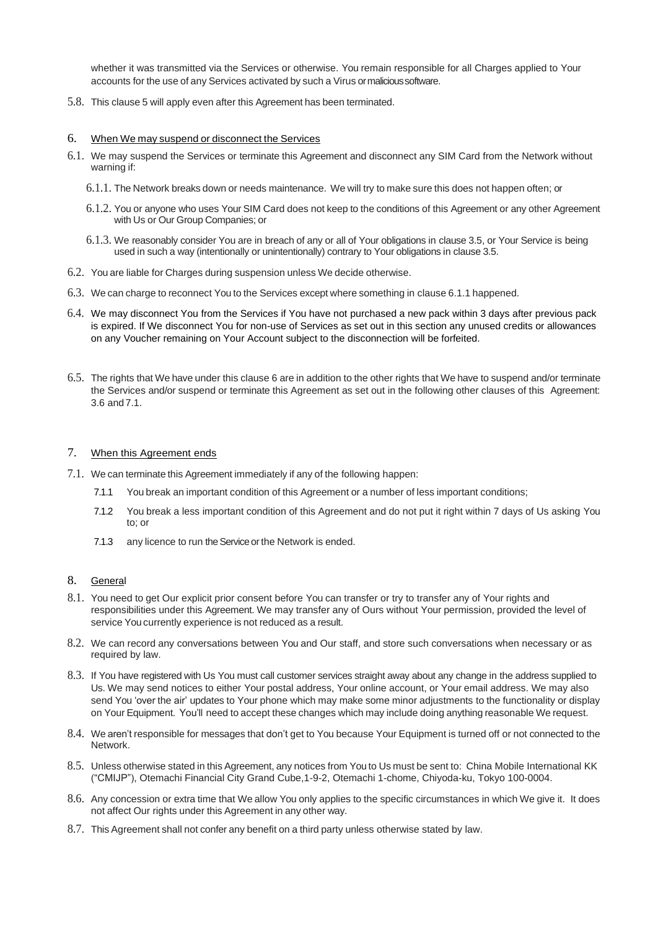whether it was transmitted via the Services or otherwise. You remain responsible for all Charges applied to Your accounts for the use of any Services activated by such a Virus ormalicioussoftware.

5.8. This clause 5 will apply even after this Agreement has been terminated.

#### 6. When We may suspend or disconnect the Services

- 6.1. We may suspend the Services or terminate this Agreement and disconnect any SIM Card from the Network without warning if:
	- 6.1.1. The Network breaks down or needs maintenance. We will try to make sure this does not happen often; or
	- 6.1.2. You or anyone who uses Your SIM Card does not keep to the conditions of this Agreement or any other Agreement with Us or Our Group Companies; or
	- 6.1.3. We reasonably consider You are in breach of any or all of Your obligations in clause 3.5, or Your Service is being used in such a way (intentionally or unintentionally) contrary to Your obligations in clause 3.5.
- 6.2. You are liable for Charges during suspension unless We decide otherwise.
- 6.3. We can charge to reconnect You to the Services except where something in clause 6.1.1 happened.
- 6.4. We may disconnect You from the Services if You have not purchased a new pack within 3 days after previous pack is expired. If We disconnect You for non-use of Services as set out in this section any unused credits or allowances on any Voucher remaining on Your Account subject to the disconnection will be forfeited.
- 6.5. The rights that We have under this clause 6 are in addition to the other rights that We have to suspend and/or terminate the Services and/or suspend or terminate this Agreement as set out in the following other clauses of this Agreement: 3.6 and 7.1.

#### 7. When this Agreement ends

- 7.1. We can terminate this Agreement immediately if any of the following happen:
	- 7.1.1 You break an important condition of this Agreement or a number of less important conditions;
	- 7.1.2 You break a less important condition of this Agreement and do not put it right within 7 days of Us asking You to; or
	- 7.1.3 any licence to run the Service or the Network is ended.

## 8. General

- 8.1. You need to get Our explicit prior consent before You can transfer or try to transfer any of Your rights and responsibilities under this Agreement. We may transfer any of Ours without Your permission, provided the level of service You currently experience is not reduced as a result.
- 8.2. We can record any conversations between You and Our staff, and store such conversations when necessary or as required by law.
- 8.3. If You have registered with Us You must call customer services straight away about any change in the address supplied to Us. We may send notices to either Your postal address, Your online account, or Your email address. We may also send You 'over the air' updates to Your phone which may make some minor adjustments to the functionality or display on Your Equipment. You'll need to accept these changes which may include doing anything reasonable We request.
- 8.4. We aren't responsible for messages that don't get to You because Your Equipment is turned off or not connected to the Network.
- 8.5. Unless otherwise stated in this Agreement, any notices from You to Us must be sent to: China Mobile International KK ("CMIJP"), Otemachi Financial City Grand Cube,1-9-2, Otemachi 1-chome, Chiyoda-ku, Tokyo 100-0004.
- 8.6. Any concession or extra time that We allow You only applies to the specific circumstances in which We give it. It does not affect Our rights under this Agreement in any other way.
- 8.7. This Agreement shall not confer any benefit on a third party unless otherwise stated by law.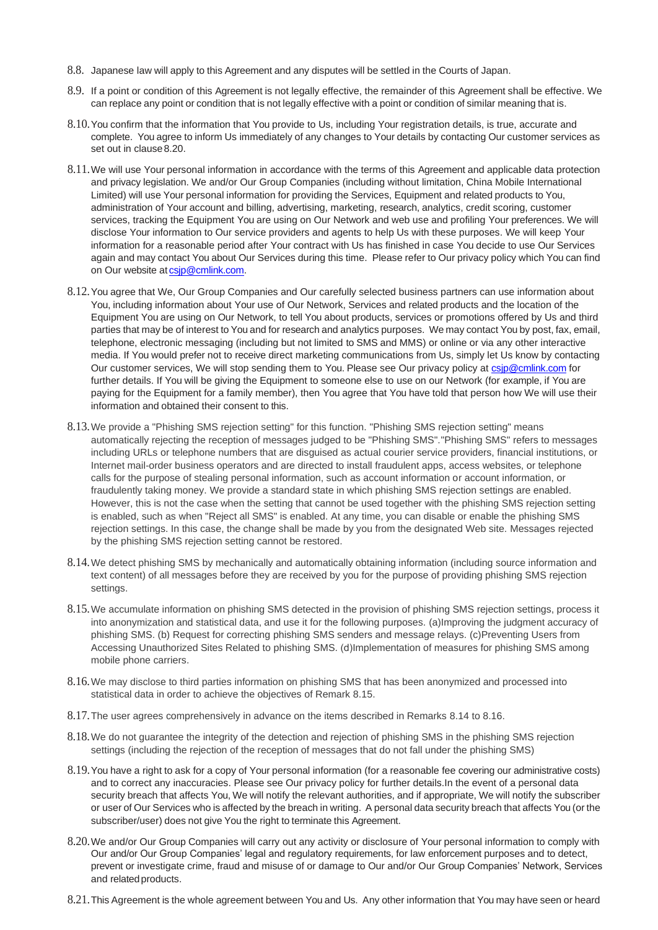- 8.8. Japanese law will apply to this Agreement and any disputes will be settled in the Courts of Japan.
- 8.9. If a point or condition of this Agreement is not legally effective, the remainder of this Agreement shall be effective. We can replace any point or condition that is not legally effective with a point or condition of similar meaning that is.
- 8.10.You confirm that the information that You provide to Us, including Your registration details, is true, accurate and complete. You agree to inform Us immediately of any changes to Your details by contacting Our customer services as set out in clause 8.20.
- 8.11.We will use Your personal information in accordance with the terms of this Agreement and applicable data protection and privacy legislation. We and/or Our Group Companies (including without limitation, China Mobile International Limited) will use Your personal information for providing the Services, Equipment and related products to You, administration of Your account and billing, advertising, marketing, research, analytics, credit scoring, customer services, tracking the Equipment You are using on Our Network and web use and profiling Your preferences. We will disclose Your information to Our service providers and agents to help Us with these purposes. We will keep Your information for a reasonable period after Your contract with Us has finished in case You decide to use Our Services again and may contact You about Our Services during this time. Please refer to Our privacy policy which You can find on Our website at csip@cmlink.com.
- 8.12.You agree that We, Our Group Companies and Our carefully selected business partners can use information about You, including information about Your use of Our Network, Services and related products and the location of the Equipment You are using on Our Network, to tell You about products, services or promotions offered by Us and third parties that may be of interest to You and for research and analytics purposes. We may contact You by post, fax, email, telephone, electronic messaging (including but not limited to SMS and MMS) or online or via any other interactive media. If You would prefer not to receive direct marketing communications from Us, simply let Us know by contacting Our customer services, We will stop sending them to You. Please see Our privacy policy at csip@cmlink.com for further details. If You will be giving the Equipment to someone else to use on our Network (for example, if You are paying for the Equipment for a family member), then You agree that You have told that person how We will use their information and obtained their consent to this.
- 8.13.We provide a "Phishing SMS rejection setting" for this function. "Phishing SMS rejection setting" means automatically rejecting the reception of messages judged to be "Phishing SMS"."Phishing SMS" refers to messages including URLs or telephone numbers that are disguised as actual courier service providers, financial institutions, or Internet mail-order business operators and are directed to install fraudulent apps, access websites, or telephone calls for the purpose of stealing personal information, such as account information or account information, or fraudulently taking money. We provide a standard state in which phishing SMS rejection settings are enabled. However, this is not the case when the setting that cannot be used together with the phishing SMS rejection setting is enabled, such as when "Reject all SMS" is enabled. At any time, you can disable or enable the phishing SMS rejection settings. In this case, the change shall be made by you from the designated Web site. Messages rejected by the phishing SMS rejection setting cannot be restored.
- 8.14.We detect phishing SMS by mechanically and automatically obtaining information (including source information and text content) of all messages before they are received by you for the purpose of providing phishing SMS rejection settings.
- 8.15.We accumulate information on phishing SMS detected in the provision of phishing SMS rejection settings, process it into anonymization and statistical data, and use it for the following purposes. (a)Improving the judgment accuracy of phishing SMS. (b) Request for correcting phishing SMS senders and message relays. (c)Preventing Users from Accessing Unauthorized Sites Related to phishing SMS. (d)Implementation of measures for phishing SMS among mobile phone carriers.
- 8.16.We may disclose to third parties information on phishing SMS that has been anonymized and processed into statistical data in order to achieve the objectives of Remark 8.15.
- 8.17.The user agrees comprehensively in advance on the items described in Remarks 8.14 to 8.16.
- 8.18.We do not guarantee the integrity of the detection and rejection of phishing SMS in the phishing SMS rejection settings (including the rejection of the reception of messages that do not fall under the phishing SMS)
- 8.19.You have a right to ask for a copy of Your personal information (for a reasonable fee covering our administrative costs) and to correct any inaccuracies. Please see Our privacy policy for further details.In the event of a personal data security breach that affects You, We will notify the relevant authorities, and if appropriate, We will notify the subscriber or user of Our Services who is affected by the breach in writing. A personal data security breach that affects You (or the subscriber/user) does not give You the right to terminate this Agreement.
- 8.20.We and/or Our Group Companies will carry out any activity or disclosure of Your personal information to comply with Our and/or Our Group Companies' legal and regulatory requirements, for law enforcement purposes and to detect, prevent or investigate crime, fraud and misuse of or damage to Our and/or Our Group Companies' Network, Services and relatedproducts.
- 8.21.This Agreement is the whole agreement between You and Us. Any other information that You may have seen or heard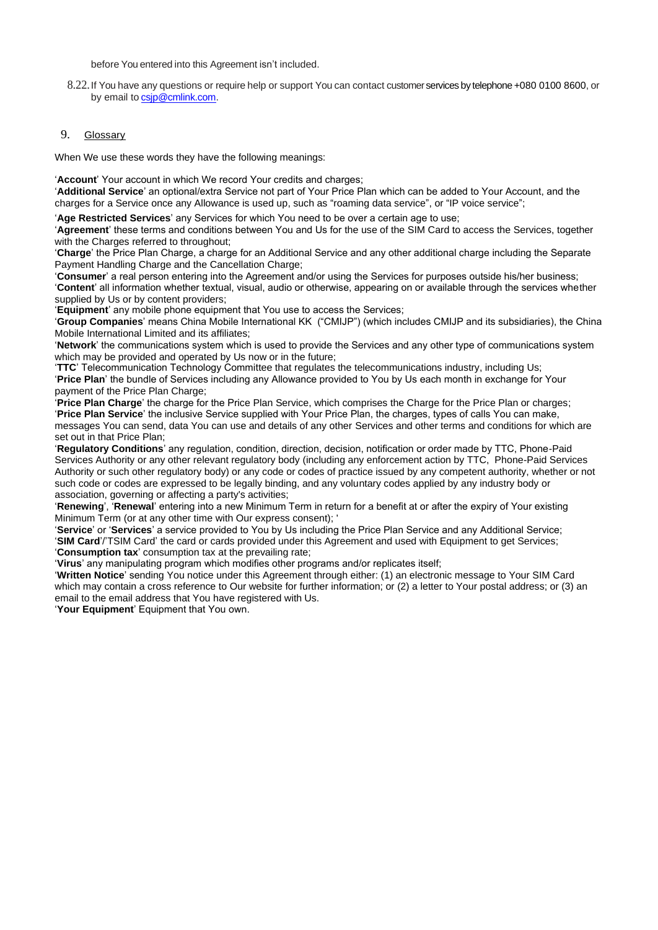before You entered into this Agreement isn't included.

8.22.If You have any questions or require help or support You can contact customer services by telephone +080 0100 8600, or by email to [csjp@cmlink.com.](mailto:csuk@cmlink.com)

#### 9. Glossary

When We use these words they have the following meanings:

'**Account**' Your account in which We record Your credits and charges;

'**Additional Service**' an optional/extra Service not part of Your Price Plan which can be added to Your Account, and the charges for a Service once any Allowance is used up, such as "roaming data service", or "IP voice service";

'**Age Restricted Services**' any Services for which You need to be over a certain age to use;

'**Agreement**' these terms and conditions between You and Us for the use of the SIM Card to access the Services, together with the Charges referred to throughout;

'**Charge**' the Price Plan Charge, a charge for an Additional Service and any other additional charge including the Separate Payment Handling Charge and the Cancellation Charge;

'**Consumer**' a real person entering into the Agreement and/or using the Services for purposes outside his/her business; '**Content**' all information whether textual, visual, audio or otherwise, appearing on or available through the services whether supplied by Us or by content providers;

'**Equipment**' any mobile phone equipment that You use to access the Services;

'**Group Companies**' means China Mobile International KK ("CMIJP") (which includes CMIJP and its subsidiaries), the China Mobile International Limited and its affiliates;

'**Network**' the communications system which is used to provide the Services and any other type of communications system which may be provided and operated by Us now or in the future;

'**TTC**' Telecommunication Technology Committee that regulates the telecommunications industry, including Us; '**Price Plan**' the bundle of Services including any Allowance provided to You by Us each month in exchange for Your payment of the Price Plan Charge;

'**Price Plan Charge**' the charge for the Price Plan Service, which comprises the Charge for the Price Plan or charges; '**Price Plan Service**' the inclusive Service supplied with Your Price Plan, the charges, types of calls You can make, messages You can send, data You can use and details of any other Services and other terms and conditions for which are set out in that Price Plan;

'**Regulatory Conditions**' any regulation, condition, direction, decision, notification or order made by TTC, Phone-Paid Services Authority or any other relevant regulatory body (including any enforcement action by TTC, Phone-Paid Services Authority or such other regulatory body) or any code or codes of practice issued by any competent authority, whether or not such code or codes are expressed to be legally binding, and any voluntary codes applied by any industry body or association, governing or affecting a party's activities;

'**Renewing**', '**Renewal**' entering into a new Minimum Term in return for a benefit at or after the expiry of Your existing Minimum Term (or at any other time with Our express consent); '

'**Service**' or '**Services**' a service provided to You by Us including the Price Plan Service and any Additional Service; '**SIM Card**'/'TSIM Card' the card or cards provided under this Agreement and used with Equipment to get Services; '**Consumption tax**' consumption tax at the prevailing rate;

'**Virus**' any manipulating program which modifies other programs and/or replicates itself;

'**Written Notice**' sending You notice under this Agreement through either: (1) an electronic message to Your SIM Card which mav contain a cross reference to Our website for further information; or (2) a letter to Your postal address; or (3) an email to the email address that You have registered with Us.

'**Your Equipment**' Equipment that You own.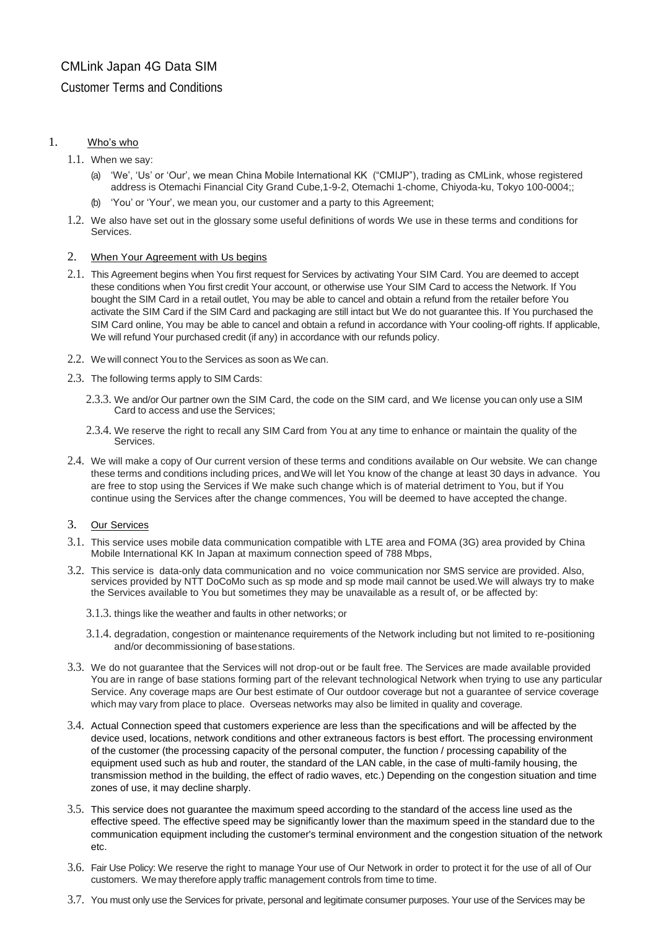# CMLink Japan 4G Data SIM

# Customer Terms and Conditions

# 1. Who's who

- 1.1. When we say:
	- (a) 'We', 'Us' or 'Our', we mean China Mobile International KK ("CMIJP"), trading as CMLink, whose registered address is Otemachi Financial City Grand Cube,1-9-2, Otemachi 1-chome, Chiyoda-ku, Tokyo 100-0004;;
	- (b) 'You' or 'Your', we mean you, our customer and a party to this Agreement;
- 1.2. We also have set out in the glossary some useful definitions of words We use in these terms and conditions for Services.

### 2. When Your Agreement with Us begins

- 2.1. This Agreement begins when You first request for Services by activating Your SIM Card. You are deemed to accept these conditions when You first credit Your account, or otherwise use Your SIM Card to access the Network. If You bought the SIM Card in a retail outlet, You may be able to cancel and obtain a refund from the retailer before You activate the SIM Card if the SIM Card and packaging are still intact but We do not guarantee this. If You purchased the SIM Card online, You may be able to cancel and obtain a refund in accordance with Your cooling-off rights. If applicable, We will refund Your purchased credit (if any) in accordance with our refunds policy.
- 2.2. We will connect You to the Services as soon as We can.
- 2.3. The following terms apply to SIM Cards:
	- 2.3.3. We and/or Our partner own the SIM Card, the code on the SIM card, and We license you can only use a SIM Card to access and use the Services;
	- 2.3.4. We reserve the right to recall any SIM Card from You at any time to enhance or maintain the quality of the Services.
- 2.4. We will make a copy of Our current version of these terms and conditions available on Our website. We can change these terms and conditions including prices, andWe will let You know of the change at least 30 days in advance. You are free to stop using the Services if We make such change which is of material detriment to You, but if You continue using the Services after the change commences, You will be deemed to have accepted the change.

## 3. Our Services

- 3.1. This service uses mobile data communication compatible with LTE area and FOMA (3G) area provided by China Mobile International KK In Japan at maximum connection speed of 788 Mbps,
- 3.2. This service is data-only data communication and no voice communication nor SMS service are provided. Also, services provided by NTT DoCoMo such as sp mode and sp mode mail cannot be used. We will always try to make the Services available to You but sometimes they may be unavailable as a result of, or be affected by:
	- 3.1.3. things like the weather and faults in other networks; or
	- 3.1.4. degradation, congestion or maintenance requirements of the Network including but not limited to re-positioning and/or decommissioning of basestations.
- 3.3. We do not guarantee that the Services will not drop-out or be fault free. The Services are made available provided You are in range of base stations forming part of the relevant technological Network when trying to use any particular Service. Any coverage maps are Our best estimate of Our outdoor coverage but not a guarantee of service coverage which may vary from place to place. Overseas networks may also be limited in quality and coverage.
- 3.4. Actual Connection speed that customers experience are less than the specifications and will be affected by the device used, locations, network conditions and other extraneous factors is best effort. The processing environment of the customer (the processing capacity of the personal computer, the function / processing capability of the equipment used such as hub and router, the standard of the LAN cable, in the case of multi-family housing, the transmission method in the building, the effect of radio waves, etc.) Depending on the congestion situation and time zones of use, it may decline sharply.
- 3.5. This service does not guarantee the maximum speed according to the standard of the access line used as the effective speed. The effective speed may be significantly lower than the maximum speed in the standard due to the communication equipment including the customer's terminal environment and the congestion situation of the network etc.
- 3.6. Fair Use Policy: We reserve the right to manage Your use of Our Network in order to protect it for the use of all of Our customers. We may therefore apply traffic management controls from time to time.
- 3.7. You must only use the Services for private, personal and legitimate consumer purposes. Your use of the Services may be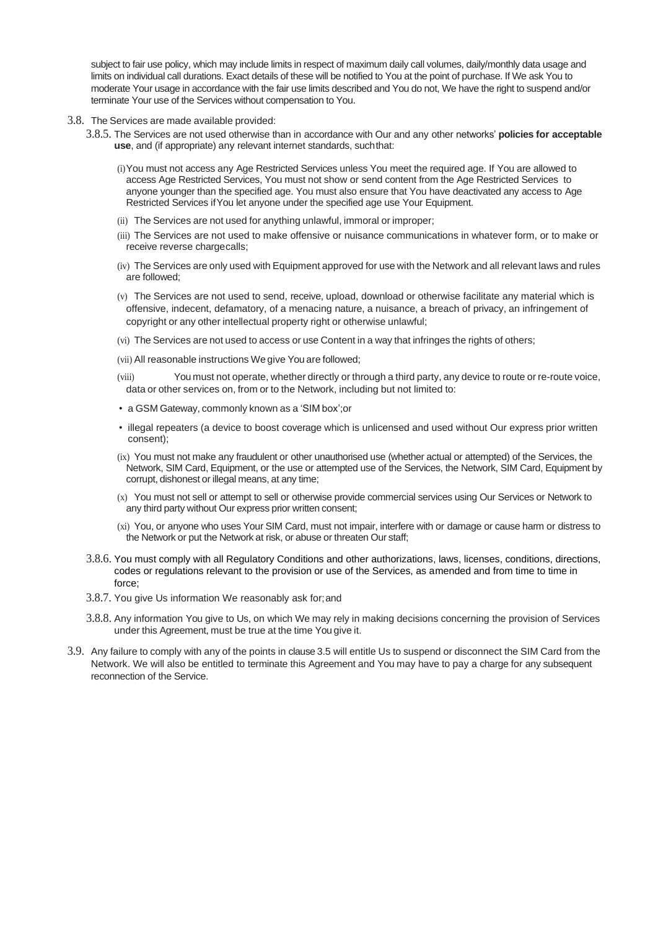subject to fair use policy, which may include limits in respect of maximum daily call volumes, daily/monthly data usage and limits on individual call durations. Exact details of these will be notified to You at the point of purchase. If We ask You to moderate Your usage in accordance with the fair use limits described and You do not, We have the right to suspend and/or terminate Your use of the Services without compensation to You.

- 3.8. The Services are made available provided:
	- 3.8.5. The Services are not used otherwise than in accordance with Our and any other networks' **policies for acceptable use**, and (if appropriate) any relevant internet standards, suchthat:
		- (i)You must not access any Age Restricted Services unless You meet the required age. If You are allowed to access Age Restricted Services, You must not show or send content from the Age Restricted Services to anyone younger than the specified age. You must also ensure that You have deactivated any access to Age Restricted Services ifYou let anyone under the specified age use Your Equipment.
		- (ii) The Services are not used for anything unlawful, immoral or improper;
		- (iii) The Services are not used to make offensive or nuisance communications in whatever form, or to make or receive reverse chargecalls;
		- (iv) The Services are only used with Equipment approved for use with the Network and all relevant laws and rules are followed;
		- (v) The Services are not used to send, receive, upload, download or otherwise facilitate any material which is offensive, indecent, defamatory, of a menacing nature, a nuisance, a breach of privacy, an infringement of copyright or any other intellectual property right or otherwise unlawful;
		- (vi) The Services are not used to access or use Content in a way that infringes the rights of others;
		- (vii) All reasonable instructions We give You are followed;
		- (viii) You must not operate, whether directly or through a third party, any device to route or re-route voice, data or other services on, from or to the Network, including but not limited to:
		- a GSM Gateway, commonly known as a 'SIM box';or
		- illegal repeaters (a device to boost coverage which is unlicensed and used without Our express prior written consent);
		- (ix) You must not make any fraudulent or other unauthorised use (whether actual or attempted) of the Services, the Network, SIM Card, Equipment, or the use or attempted use of the Services, the Network, SIM Card, Equipment by corrupt, dishonest or illegal means, at any time;
		- (x) You must not sell or attempt to sell or otherwise provide commercial services using Our Services or Network to any third party without Our express prior written consent;
		- (xi) You, or anyone who uses Your SIM Card, must not impair, interfere with or damage or cause harm or distress to the Network or put the Network at risk, or abuse or threaten Our staff;
	- 3.8.6. You must comply with all Regulatory Conditions and other authorizations, laws, licenses, conditions, directions, codes or regulations relevant to the provision or use of the Services, as amended and from time to time in force;
	- 3.8.7. You give Us information We reasonably ask for;and
	- 3.8.8. Any information You give to Us, on which We may rely in making decisions concerning the provision of Services under this Agreement, must be true at the time You give it.
- 3.9. Any failure to comply with any of the points in clause 3.5 will entitle Us to suspend or disconnect the SIM Card from the Network. We will also be entitled to terminate this Agreement and You may have to pay a charge for any subsequent reconnection of the Service.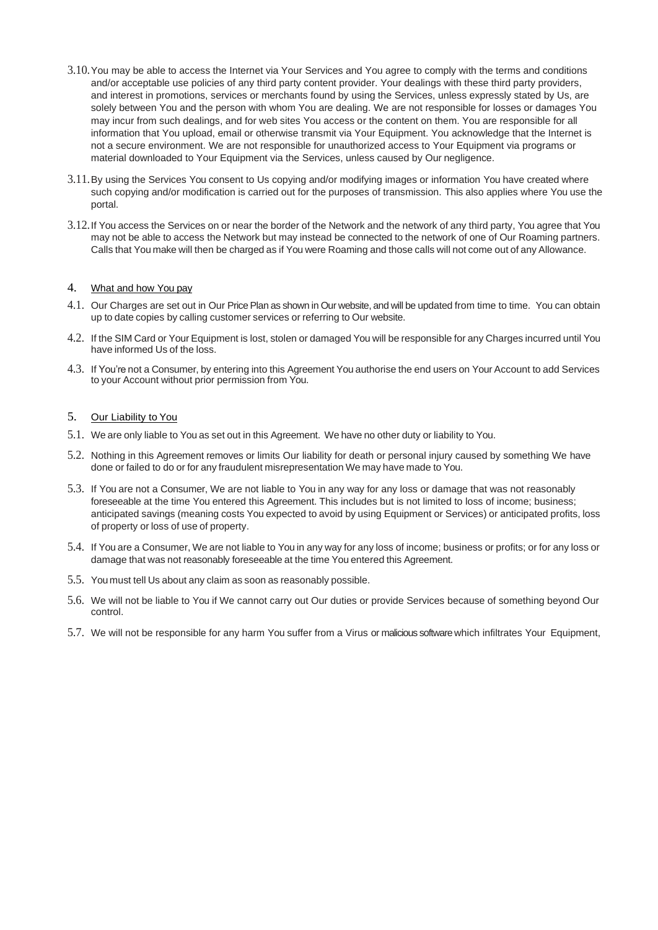- 3.10.You may be able to access the Internet via Your Services and You agree to comply with the terms and conditions and/or acceptable use policies of any third party content provider. Your dealings with these third party providers, and interest in promotions, services or merchants found by using the Services, unless expressly stated by Us, are solely between You and the person with whom You are dealing. We are not responsible for losses or damages You may incur from such dealings, and for web sites You access or the content on them. You are responsible for all information that You upload, email or otherwise transmit via Your Equipment. You acknowledge that the Internet is not a secure environment. We are not responsible for unauthorized access to Your Equipment via programs or material downloaded to Your Equipment via the Services, unless caused by Our negligence.
- 3.11.By using the Services You consent to Us copying and/or modifying images or information You have created where such copying and/or modification is carried out for the purposes of transmission. This also applies where You use the portal.
- 3.12.If You access the Services on or near the border of the Network and the network of any third party, You agree that You may not be able to access the Network but may instead be connected to the network of one of Our Roaming partners. Calls that You make will then be charged as if You were Roaming and those calls will not come out of any Allowance.

# 4. What and how You pay

- 4.1. Our Charges are set out in Our PricePlan as shown in Our website, and will be updated from time to time. You can obtain up to date copies by calling customer services or referring to Our website.
- 4.2. If the SIM Card or Your Equipment is lost, stolen or damaged You will be responsible for any Charges incurred until You have informed Us of the loss.
- 4.3. If You're not a Consumer, by entering into this Agreement You authorise the end users on Your Account to add Services to your Account without prior permission from You.

### 5. Our Liability to You

- 5.1. We are only liable to You as set out in this Agreement. We have no other duty or liability to You.
- 5.2. Nothing in this Agreement removes or limits Our liability for death or personal injury caused by something We have done or failed to do or for any fraudulent misrepresentation We may have made to You.
- 5.3. If You are not a Consumer, We are not liable to You in any way for any loss or damage that was not reasonably foreseeable at the time You entered this Agreement. This includes but is not limited to loss of income; business; anticipated savings (meaning costs You expected to avoid by using Equipment or Services) or anticipated profits, loss of property or loss of use of property.
- 5.4. If You are a Consumer, We are not liable to You in any way for any loss of income; business or profits; or for any loss or damage that was not reasonably foreseeable at the time You entered this Agreement.
- 5.5. You must tell Us about any claim as soon as reasonably possible.
- 5.6. We will not be liable to You if We cannot carry out Our duties or provide Services because of something beyond Our control.
- 5.7. We will not be responsible for any harm You suffer from a Virus or malicious software which infiltrates Your Equipment,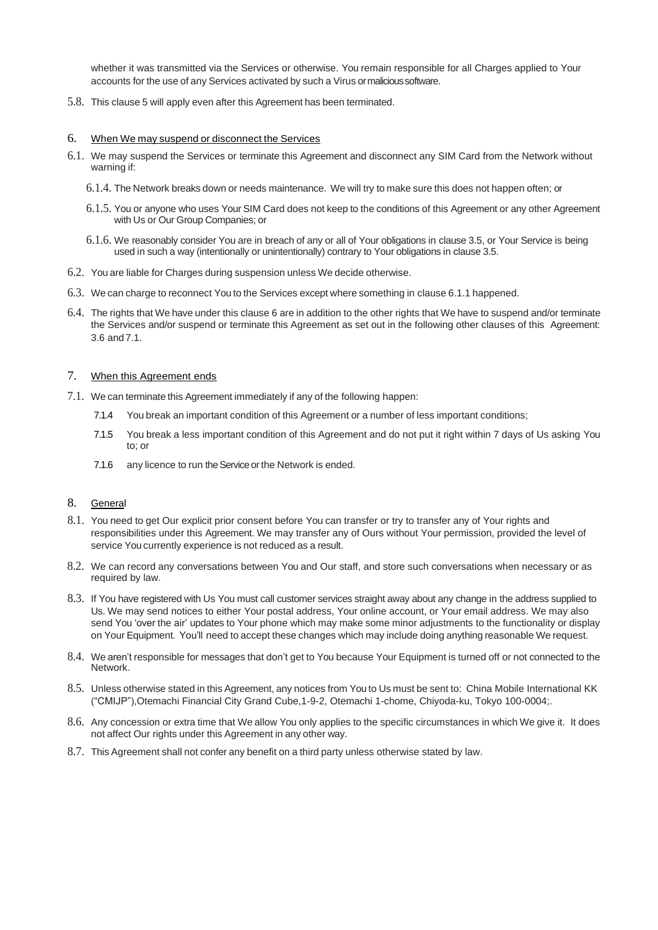whether it was transmitted via the Services or otherwise. You remain responsible for all Charges applied to Your accounts for the use of any Services activated by such a Virus ormalicioussoftware.

5.8. This clause 5 will apply even after this Agreement has been terminated.

#### 6. When We may suspend or disconnect the Services

- 6.1. We may suspend the Services or terminate this Agreement and disconnect any SIM Card from the Network without warning if:
	- 6.1.4. The Network breaks down or needs maintenance. We will try to make sure this does not happen often; or
	- 6.1.5. You or anyone who uses Your SIM Card does not keep to the conditions of this Agreement or any other Agreement with Us or Our Group Companies; or
	- 6.1.6. We reasonably consider You are in breach of any or all of Your obligations in clause 3.5, or Your Service is being used in such a way (intentionally or unintentionally) contrary to Your obligations in clause 3.5.
- 6.2. You are liable for Charges during suspension unless We decide otherwise.
- 6.3. We can charge to reconnect You to the Services except where something in clause 6.1.1 happened.
- 6.4. The rights that We have under this clause 6 are in addition to the other rights that We have to suspend and/or terminate the Services and/or suspend or terminate this Agreement as set out in the following other clauses of this Agreement: 3.6 and 7.1.

#### 7. When this Agreement ends

- 7.1. We can terminate this Agreement immediately if any of the following happen:
	- 7.1.4 You break an important condition of this Agreement or a number of less important conditions;
	- 7.1.5 You break a less important condition of this Agreement and do not put it right within 7 days of Us asking You to; or
	- 7.1.6 any licence to run the Service or the Network is ended.

### 8. General

- 8.1. You need to get Our explicit prior consent before You can transfer or try to transfer any of Your rights and responsibilities under this Agreement. We may transfer any of Ours without Your permission, provided the level of service You currently experience is not reduced as a result.
- 8.2. We can record any conversations between You and Our staff, and store such conversations when necessary or as required by law.
- 8.3. If You have registered with Us You must call customer services straight away about any change in the address supplied to Us. We may send notices to either Your postal address, Your online account, or Your email address. We may also send You 'over the air' updates to Your phone which may make some minor adjustments to the functionality or display on Your Equipment. You'll need to accept these changes which may include doing anything reasonable We request.
- 8.4. We aren't responsible for messages that don't get to You because Your Equipment is turned off or not connected to the Network.
- 8.5. Unless otherwise stated in this Agreement, any notices from You to Us must be sent to: China Mobile International KK ("CMIJP"),Otemachi Financial City Grand Cube,1-9-2, Otemachi 1-chome, Chiyoda-ku, Tokyo 100-0004;.
- 8.6. Any concession or extra time that We allow You only applies to the specific circumstances in which We give it. It does not affect Our rights under this Agreement in any other way.
- 8.7. This Agreement shall not confer any benefit on a third party unless otherwise stated by law.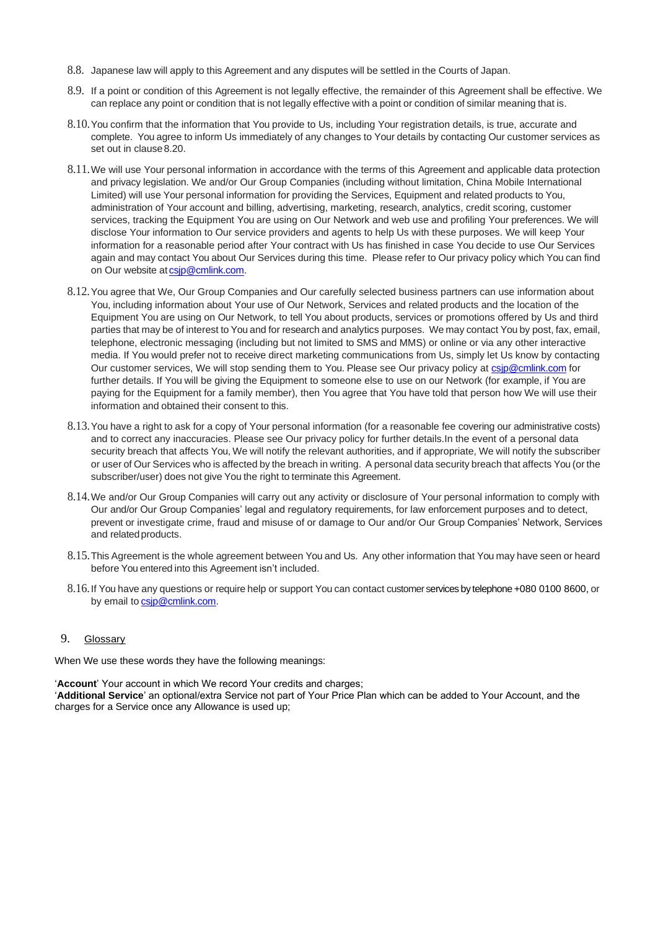- 8.8. Japanese law will apply to this Agreement and any disputes will be settled in the Courts of Japan.
- 8.9. If a point or condition of this Agreement is not legally effective, the remainder of this Agreement shall be effective. We can replace any point or condition that is not legally effective with a point or condition of similar meaning that is.
- 8.10.You confirm that the information that You provide to Us, including Your registration details, is true, accurate and complete. You agree to inform Us immediately of any changes to Your details by contacting Our customer services as set out in clause 8.20.
- 8.11.We will use Your personal information in accordance with the terms of this Agreement and applicable data protection and privacy legislation. We and/or Our Group Companies (including without limitation, China Mobile International Limited) will use Your personal information for providing the Services, Equipment and related products to You, administration of Your account and billing, advertising, marketing, research, analytics, credit scoring, customer services, tracking the Equipment You are using on Our Network and web use and profiling Your preferences. We will disclose Your information to Our service providers and agents to help Us with these purposes. We will keep Your information for a reasonable period after Your contract with Us has finished in case You decide to use Our Services again and may contact You about Our Services during this time. Please refer to Our privacy policy which You can find on Our website at csip@cmlink.com.
- 8.12.You agree that We, Our Group Companies and Our carefully selected business partners can use information about You, including information about Your use of Our Network, Services and related products and the location of the Equipment You are using on Our Network, to tell You about products, services or promotions offered by Us and third parties that may be of interest to You and for research and analytics purposes. We may contact You by post, fax, email, telephone, electronic messaging (including but not limited to SMS and MMS) or online or via any other interactive media. If You would prefer not to receive direct marketing communications from Us, simply let Us know by contacting Our customer services, We will stop sending them to You. Please see Our privacy policy at csip@cmlink.com for further details. If You will be giving the Equipment to someone else to use on our Network (for example, if You are paying for the Equipment for a family member), then You agree that You have told that person how We will use their information and obtained their consent to this.
- 8.13.You have a right to ask for a copy of Your personal information (for a reasonable fee covering our administrative costs) and to correct any inaccuracies. Please see Our privacy policy for further details.In the event of a personal data security breach that affects You, We will notify the relevant authorities, and if appropriate, We will notify the subscriber or user of Our Services who is affected by the breach in writing. A personal data security breach that affects You (or the subscriber/user) does not give You the right to terminate this Agreement.
- 8.14.We and/or Our Group Companies will carry out any activity or disclosure of Your personal information to comply with Our and/or Our Group Companies' legal and regulatory requirements, for law enforcement purposes and to detect, prevent or investigate crime, fraud and misuse of or damage to Our and/or Our Group Companies' Network, Services and relatedproducts.
- 8.15.This Agreement is the whole agreement between You and Us. Any other information that You may have seen or heard before You entered into this Agreement isn't included.
- 8.16.If You have any questions or require help or support You can contact customer services by telephone +080 0100 8600, or by email to [csjp@cmlink.com.](mailto:csuk@cmlink.com)

### 9. Glossary

When We use these words they have the following meanings:

'**Account**' Your account in which We record Your credits and charges;

'**Additional Service**' an optional/extra Service not part of Your Price Plan which can be added to Your Account, and the charges for a Service once any Allowance is used up;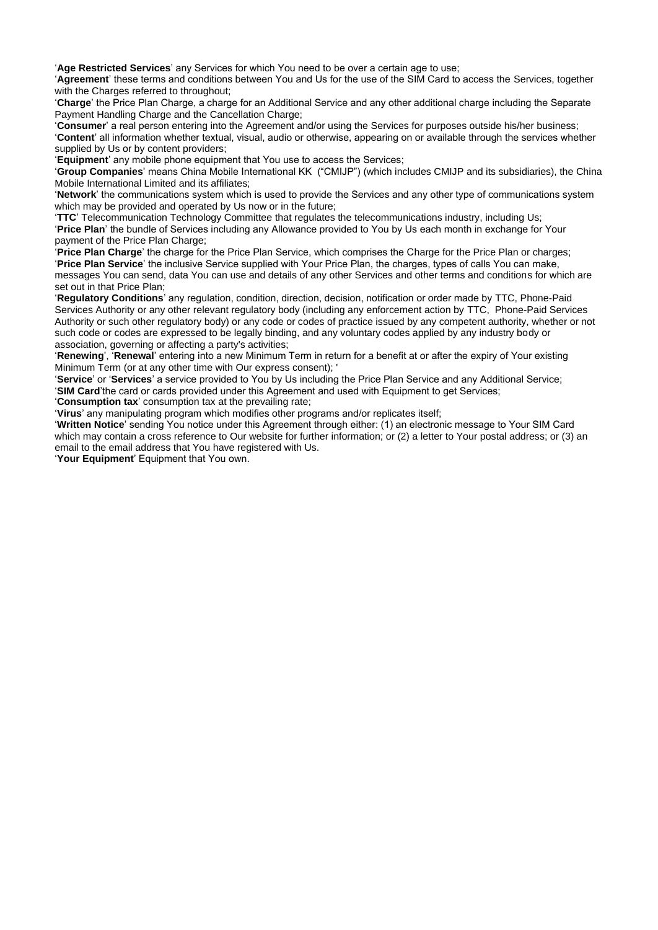'**Age Restricted Services**' any Services for which You need to be over a certain age to use;

'**Agreement**' these terms and conditions between You and Us for the use of the SIM Card to access the Services, together with the Charges referred to throughout:

'**Charge**' the Price Plan Charge, a charge for an Additional Service and any other additional charge including the Separate Payment Handling Charge and the Cancellation Charge;

'**Consumer**' a real person entering into the Agreement and/or using the Services for purposes outside his/her business;

'**Content**' all information whether textual, visual, audio or otherwise, appearing on or available through the services whether supplied by Us or by content providers;

'**Equipment**' any mobile phone equipment that You use to access the Services;

'**Group Companies**' means China Mobile International KK ("CMIJP") (which includes CMIJP and its subsidiaries), the China Mobile International Limited and its affiliates;

'**Network**' the communications system which is used to provide the Services and any other type of communications system which may be provided and operated by Us now or in the future;

'**TTC**' Telecommunication Technology Committee that regulates the telecommunications industry, including Us; '**Price Plan**' the bundle of Services including any Allowance provided to You by Us each month in exchange for Your payment of the Price Plan Charge;

'**Price Plan Charge**' the charge for the Price Plan Service, which comprises the Charge for the Price Plan or charges; '**Price Plan Service**' the inclusive Service supplied with Your Price Plan, the charges, types of calls You can make, messages You can send, data You can use and details of any other Services and other terms and conditions for which are set out in that Price Plan;

'**Regulatory Conditions**' any regulation, condition, direction, decision, notification or order made by TTC, Phone-Paid Services Authority or any other relevant regulatory body (including any enforcement action by TTC, Phone-Paid Services Authority or such other regulatory body) or any code or codes of practice issued by any competent authority, whether or not such code or codes are expressed to be legally binding, and any voluntary codes applied by any industry body or association, governing or affecting a party's activities;

'**Renewing**', '**Renewal**' entering into a new Minimum Term in return for a benefit at or after the expiry of Your existing Minimum Term (or at any other time with Our express consent); '

'**Service**' or '**Services**' a service provided to You by Us including the Price Plan Service and any Additional Service; '**SIM Card**'the card or cards provided under this Agreement and used with Equipment to get Services;

'**Consumption tax**' consumption tax at the prevailing rate;

'**Virus**' any manipulating program which modifies other programs and/or replicates itself;

'**Written Notice**' sending You notice under this Agreement through either: (1) an electronic message to Your SIM Card which may contain a cross reference to Our website for further information; or (2) a letter to Your postal address; or (3) an email to the email address that You have registered with Us.

'**Your Equipment**' Equipment that You own.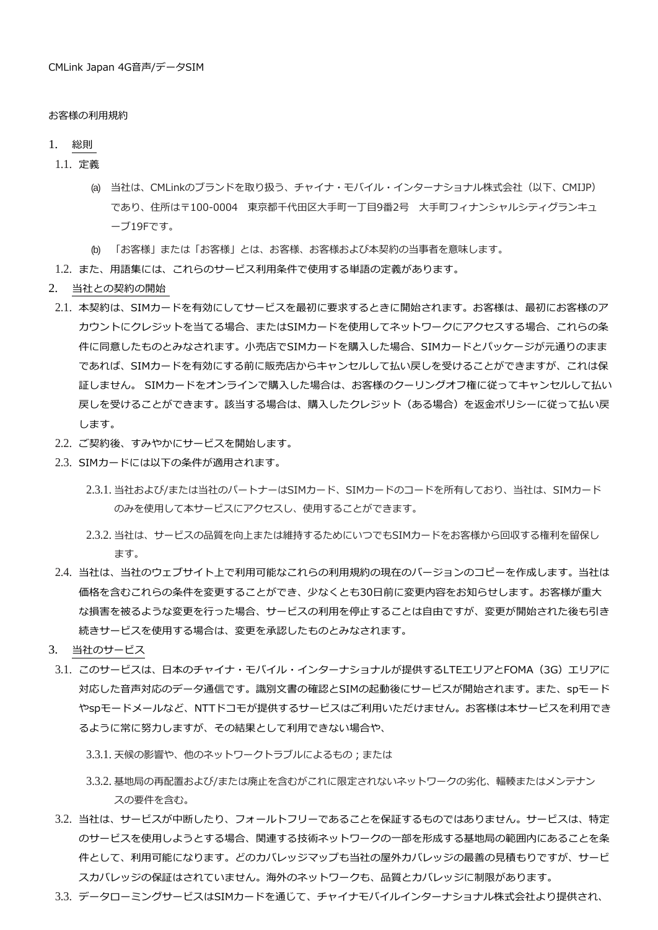#### お客様の利用規約

#### 1. 総則

1.1. 定義

- (a) 当社は、CMLinkのブランドを取り扱う、チャイナ・モバイル・インターナショナル株式会社(以下、CMIJP) であり、住所は〒100-0004 東京都千代田区大手町一丁目9番2号 大手町フィナンシャルシティグランキュ ーブ19Fです。
- (b) 「お客様」または「お客様」とは、お客様、お客様および本契約の当事者を意味します。
- 1.2. また、用語集には、これらのサービス利用条件で使用する単語の定義があります。
- 2. 当社との契約の開始
- 2.1. 本契約は、SIMカードを有効にしてサービスを最初に要求するときに開始されます。お客様は、最初にお客様のア カウントにクレジットを当てる場合、またはSIMカードを使用してネットワークにアクセスする場合、これらの条 件に同意したものとみなされます。小売店でSIMカードを購入した場合、SIMカードとパッケージが元通りのまま であれば、SIMカードを有効にする前に販売店からキャンセルして払い戻しを受けることができますが、これは保 証しません。 SIMカードをオンラインで購入した場合は、お客様のクーリングオフ権に従ってキャンセルして払い 戻しを受けることができます。該当する場合は、購入したクレジット(ある場合)を返金ポリシーに従って払い戻 します。
- 2.2. ご契約後、すみやかにサービスを開始します。
- 2.3. SIMカードには以下の条件が適用されます。
	- 2.3.1. 当社および/または当社のパートナーはSIMカード、SIMカードのコードを所有しており、当社は、SIMカード のみを使用して本サービスにアクセスし、使用することができます。
	- 2.3.2. 当社は、サービスの品質を向上または維持するためにいつでもSIMカードをお客様から回収する権利を留保し ます。
- 2.4. 当社は、当社のウェブサイト上で利用可能なこれらの利用規約の現在のバージョンのコピーを作成します。当社は 価格を含むこれらの条件を変更することができ、少なくとも30日前に変更内容をお知らせします。お客様が重大 な損害を被るような変更を行った場合、サービスの利用を停止することは自由ですが、変更が開始された後も引き 続きサービスを使用する場合は、変更を承認したものとみなされます。
- 3. 当社のサービス
- 3.1. このサービスは、日本のチャイナ・モバイル・インターナショナルが提供するLTEエリアとFOMA(3G)エリアに 対応した音声対応のデータ通信です。識別文書の確認とSIMの起動後にサービスが開始されます。また、spモード やspモードメールなど、NTTドコモが提供するサービスはご利用いただけません。お客様は本サービスを利用でき るように常に努力しますが、その結果として利用できない場合や、
	- 3.3.1. 天候の影響や、他のネットワークトラブルによるもの;または
	- 3.3.2. 基地局の再配置および/または廃止を含むがこれに限定されないネットワークの劣化、輻輳またはメンテナン スの要件を含む。
- 3.2. 当社は、サービスが中断したり、フォールトフリーであることを保証するものではありません。サービスは、特定 のサービスを使用しようとする場合、関連する技術ネットワークの一部を形成する基地局の範囲内にあることを条 件として、利用可能になります。どのカバレッジマップも当社の屋外カバレッジの最善の見積もりですが、サービ スカバレッジの保証はされていません。海外のネットワークも、品質とカバレッジに制限があります。
- 3.3. データローミングサービスはSIMカードを通じて、チャイナモバイルインターナショナル株式会社より提供され、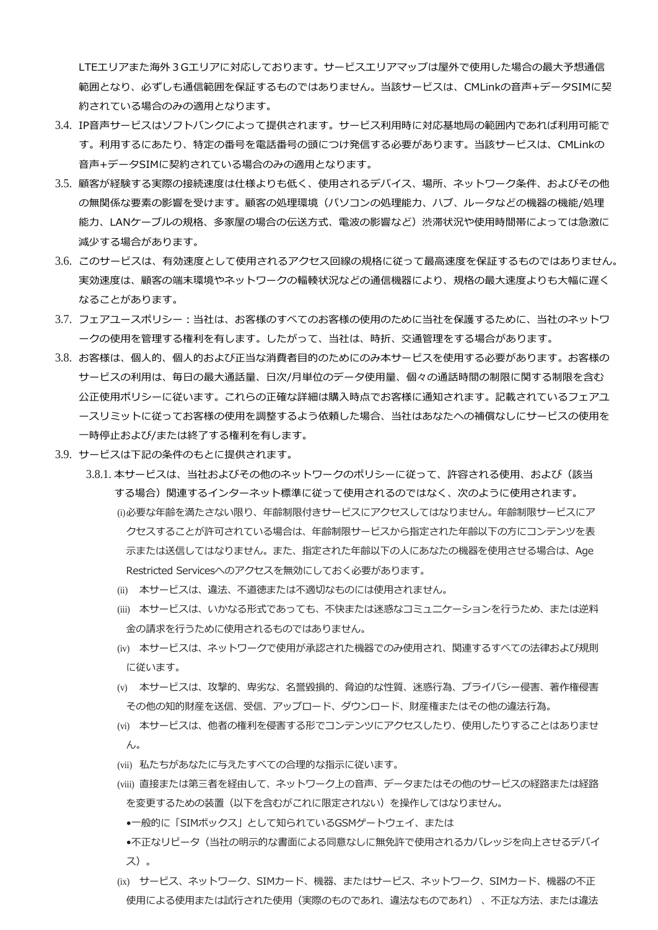LTEエリアまた海外3Gエリアに対応しております。サービスエリアマップは屋外で使用した場合の最大予想通信 範囲となり、必ずしも通信範囲を保証するものではありません。当該サービスは、CMLinkの音声+データSIMに契 約されている場合のみの適用となります。

- 3.4. IP音声サービスはソフトバンクによって提供されます。サービス利用時に対応基地局の範囲内であれば利用可能で す。利用するにあたり、特定の番号を電話番号の頭につけ発信する必要があります。当該サービスは、CMLinkの 音声+データSIMに契約されている場合のみの適用となります。
- 3.5. 顧客が経験する実際の接続速度は仕様よりも低く、使用されるデバイス、場所、ネットワーク条件、およびその他 の無関係な要素の影響を受けます。顧客の処理環境(パソコンの処理能力、ハブ、ルータなどの機器の機能/処理 能力、LANケーブルの規格、多家屋の場合の伝送方式、電波の影響など)渋滞状況や使用時間帯によっては急激に 減少する場合があります。
- 3.6. このサービスは、有効速度として使用されるアクセス回線の規格に従って最高速度を保証するものではありません。 実効速度は、顧客の端末環境やネットワークの輻輳状況などの通信機器により、規格の最大速度よりも大幅に遅く なることがあります。
- 3.7. フェアユースポリシー:当社は、お客様のすべてのお客様の使用のために当社を保護するために、当社のネットワ ークの使用を管理する権利を有します。したがって、当社は、時折、交通管理をする場合があります。
- 3.8. お客様は、個人的、個人的および正当な消費者目的のためにのみ本サービスを使用する必要があります。お客様の サービスの利用は、毎日の最大通話量、日次/月単位のデータ使用量、個々の通話時間の制限に関する制限を含む 公正使用ポリシーに従います。これらの正確な詳細は購入時点でお客様に通知されます。記載されているフェアユ ースリミットに従ってお客様の使用を調整するよう依頼した場合、当社はあなたへの補償なしにサービスの使用を 一時停止および/または終了する権利を有します。
- 3.9. サービスは下記の条件のもとに提供されます。
	- 3.8.1. 本サービスは、当社およびその他のネットワークのポリシーに従って、許容される使用、および(該当 する場合)関連するインターネット標準に従って使用されるのではなく、次のように使用されます。 (i)必要な年齢を満たさない限り、年齢制限付きサービスにアクセスしてはなりません。年齢制限サービスにア クセスすることが許可されている場合は、年齢制限サービスから指定された年齢以下の方にコンテンツを表 示または送信してはなりません。また、指定された年齢以下の人にあなたの機器を使用させる場合は、Age Restricted Servicesへのアクセスを無効にしておく必要があります。
		- (ii) 本サービスは、違法、不道徳または不適切なものには使用されません。
		- (iii) 本サービスは、いかなる形式であっても、不快または迷惑なコミュニケーションを行うため、または逆料 金の請求を行うために使用されるものではありません。
		- (iv) 本サービスは、ネットワークで使用が承認された機器でのみ使用され、関連するすべての法律および規則 に従います。
		- (v) 本サービスは、攻撃的、卑劣な、名誉毀損的、脅迫的な性質、迷惑行為、プライバシー侵害、著作権侵害 その他の知的財産を送信、受信、アップロード、ダウンロード、財産権またはその他の違法行為。
		- (vi) 本サービスは、他者の権利を侵害する形でコンテンツにアクセスしたり、使用したりすることはありませ ん。
		- (vii) 私たちがあなたに与えたすべての合理的な指示に従います。
		- (viii) 直接または第三者を経由して、ネットワーク上の音声、データまたはその他のサービスの経路または経路 を変更するための装置(以下を含むがこれに限定されない)を操作してはなりません。
			- •一般的に「SIMボックス」として知られているGSMゲートウェイ、または
		- •不正なリピータ(当社の明示的な書面による同意なしに無免許で使用されるカバレッジを向上させるデバイ ス)。
		- (ix) サービス、ネットワーク、SIMカード、機器、またはサービス、ネットワーク、SIMカード、機器の不正 使用による使用または試行された使用(実際のものであれ、違法なものであれ) 、不正な方法、または違法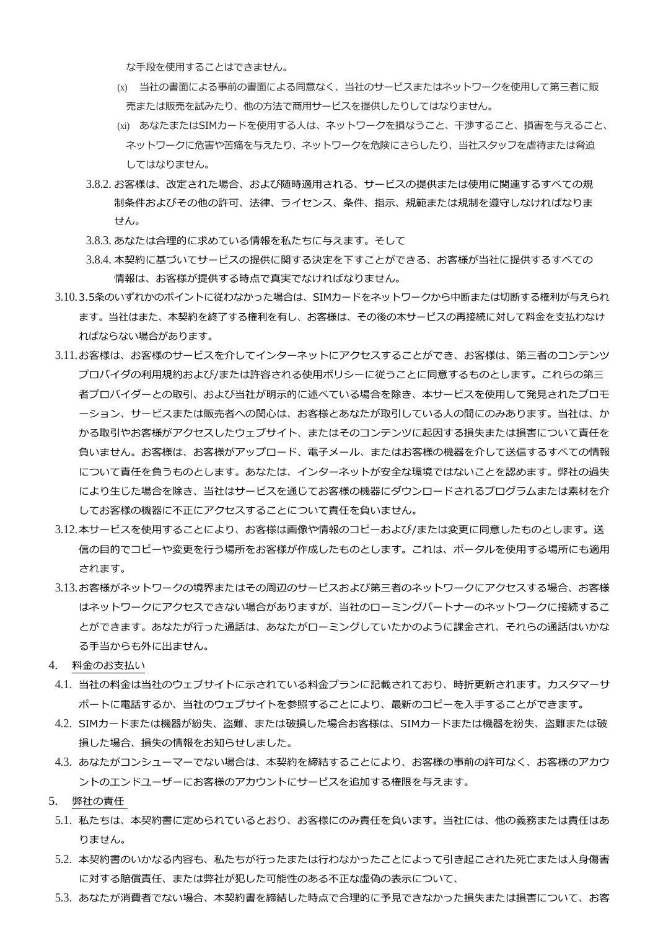な手段を使用することはできません。

- (x) 当社の書面による事前の書面による同意なく、当社のサービスまたはネットワークを使用して第三者に販 売または販売を試みたり、他の方法で商用サービスを提供したりしてはなりません。
- (xi) あなたまたはSIMカードを使用する人は、ネットワークを損なうこと、干渉すること、損害を与えること、 ネットワークに危害や苦痛を与えたり、ネットワークを危険にさらしたり、当社スタッフを虐待または脅迫 してはなりません。
- 3.8.2. お客様は、改定された場合、および随時適用される、サービスの提供または使用に関連するすべての規 制条件およびその他の許可、法律、ライセンス、条件、指示、規範または規制を遵守しなければなりま せん。
- 3.8.3. あなたは合理的に求めている情報を私たちに与えます。そして
- 3.8.4. 本契約に基づいてサービスの提供に関する決定を下すことができる、お客様が当社に提供するすべての 情報は、お客様が提供する時点で真実でなければなりません。
- 3.10.3.5条のいずれかのポイントに従わなかった場合は、SIMカードをネットワークから中断または切断する権利が与えられ ます。当社はまた、本契約を終了する権利を有し、お客様は、その後の本サービスの再接続に対して料金を支払わなけ ればならない場合があります。
- 3.11.お客様は、お客様のサービスを介してインターネットにアクセスすることができ、お客様は、第三者のコンテンツ プロバイダの利用規約および/または許容される使用ポリシーに従うことに同意するものとします。これらの第三 者プロバイダーとの取引、および当社が明示的に述べている場合を除き、本サービスを使用して発見されたプロモ ーション、サービスまたは販売者への関心は、お客様とあなたが取引している人の間にのみあります。当社は、か かる取引やお客様がアクセスしたウェブサイト、またはそのコンテンツに起因する損失または損害について責任を 負いません。お客様は、お客様がアップロード、電子メール、またはお客様の機器を介して送信するすべての情報 について責任を負うものとします。あなたは、インターネットが安全な環境ではないことを認めます。弊社の過失 により生じた場合を除き、当社はサービスを通じてお客様の機器にダウンロードされるプログラムまたは素材を介 してお客様の機器に不正にアクセスすることについて責任を負いません。
- 3.12.本サービスを使用することにより、お客様は画像や情報のコピーおよび/または変更に同意したものとします。送 信の目的でコピーや変更を行う場所をお客様が作成したものとします。これは、ポータルを使用する場所にも適用 されます。
- 3.13.お客様がネットワークの境界またはその周辺のサービスおよび第三者のネットワークにアクセスする場合、お客様 はネットワークにアクセスできない場合がありますが、当社のローミングパートナーのネットワークに接続するこ とができます。あなたが行った通話は、あなたがローミングしていたかのように課金され、それらの通話はいかな る手当からも外に出ません。
- 4. 料金のお支払い
- 4.1. 当社の料金は当社のウェブサイトに示されている料金プランに記載されており、時折更新されます。カスタマーサ ポートに電話するか、当社のウェブサイトを参照することにより、最新のコピーを入手することができます。
- 4.2. SIMカードまたは機器が紛失、盗難、または破損した場合お客様は、SIMカードまたは機器を紛失、盗難または破 損した場合、損失の情報をお知らせしました。
- 4.3. あなたがコンシューマーでない場合は、本契約を締結することにより、お客様の事前の許可なく、お客様のアカウ ントのエンドユーザーにお客様のアカウントにサービスを追加する権限を与えます。
- 5. 弊社の責任
- 5.1. 私たちは、本契約書に定められているとおり、お客様にのみ責任を負います。当社には、他の義務または責任はあ りません。
- 5.2. 本契約書のいかなる内容も、私たちが行ったまたは行わなかったことによって引き起こされた死亡または人身傷害 に対する賠償責任、または弊社が犯した可能性のある不正な虚偽の表示について、
- 5.3. あなたが消費者でない場合、本契約書を締結した時点で合理的に予見できなかった損失または損害について、お客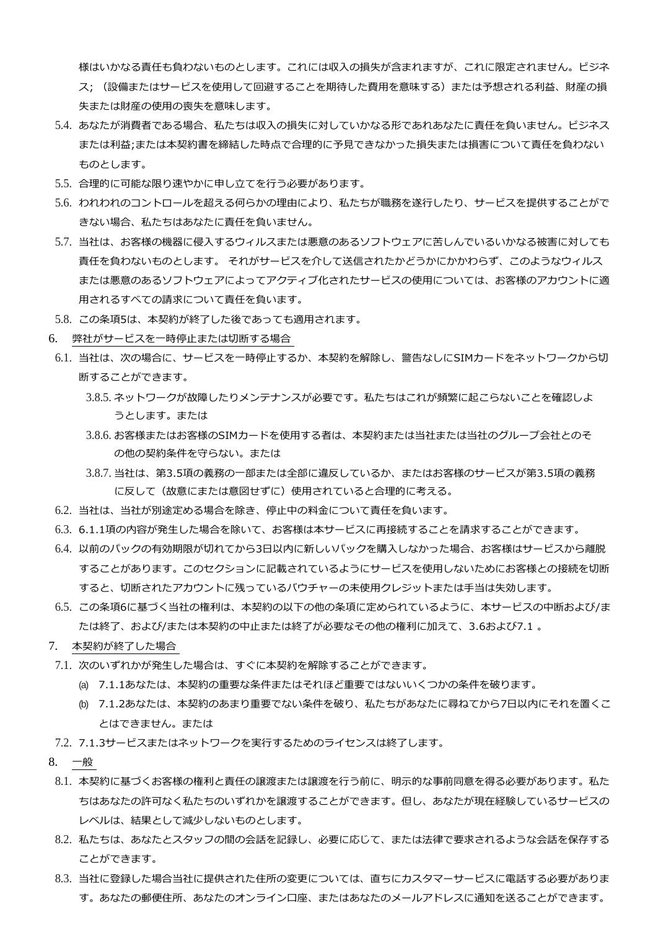様はいかなる責任も負わないものとします。これには収入の損失が含まれますが、これに限定されません。ビジネ ス; (設備またはサービスを使用して回避することを期待した費用を意味する)または予想される利益、財産の損 失または財産の使用の喪失を意味します。

- 5.4. あなたが消費者である場合、私たちは収入の損失に対していかなる形であれあなたに責任を負いません。ビジネス または利益;または本契約書を締結した時点で合理的に予見できなかった損失または損害について責任を負わない ものとします。
- 5.5. 合理的に可能な限り速やかに申し立てを行う必要があります。
- 5.6. われわれのコントロールを超える何らかの理由により、私たちが職務を遂行したり、サービスを提供することがで きない場合、私たちはあなたに責任を負いません。
- 5.7. 当社は、お客様の機器に侵入するウィルスまたは悪意のあるソフトウェアに苦しんでいるいかなる被害に対しても 責任を負わないものとします。 それがサービスを介して送信されたかどうかにかかわらず、このようなウィルス または悪意のあるソフトウェアによってアクティブ化されたサービスの使用については、お客様のアカウントに適 用されるすべての請求について責任を負います。
- 5.8. この条項5は、本契約が終了した後であっても適用されます。
- 6. 弊社がサービスを一時停止または切断する場合
- 6.1. 当社は、次の場合に、サービスを一時停止するか、本契約を解除し、警告なしにSIMカードをネットワークから切 断することができます。
	- 3.8.5. ネットワークが故障したりメンテナンスが必要です。私たちはこれが頻繁に起こらないことを確認しよ うとします。または
	- 3.8.6. お客様またはお客様のSIMカードを使用する者は、本契約または当社または当社のグループ会社とのそ の他の契約条件を守らない。または
	- 3.8.7. 当社は、第3.5項の義務の一部または全部に違反しているか、またはお客様のサービスが第3.5項の義務 に反して(故意にまたは意図せずに)使用されていると合理的に考える。
- 6.2. 当社は、当社が別途定める場合を除き、停止中の料金について責任を負います。
- 6.3. 6.1.1項の内容が発生した場合を除いて、お客様は本サービスに再接続することを請求することができます。
- 6.4. 以前のパックの有効期限が切れてから3日以内に新しいパックを購入しなかった場合、お客様はサービスから離脱 することがあります。このセクションに記載されているようにサービスを使用しないためにお客様との接続を切断 すると、切断されたアカウントに残っているバウチャーの未使用クレジットまたは手当は失効します。
- 6.5. この条項6に基づく当社の権利は、本契約の以下の他の条項に定められているように、本サービスの中断および/ま たは終了、および/または本契約の中止または終了が必要なその他の権利に加えて、3.6および7.1 。
- 7. 本契約が終了した場合
- 7.1. 次のいずれかが発生した場合は、すぐに本契約を解除することができます。
	- (a) 7.1.1あなたは、本契約の重要な条件またはそれほど重要ではないいくつかの条件を破ります。
	- (b) 7.1.2あなたは、本契約のあまり重要でない条件を破り、私たちがあなたに尋ねてから7日以内にそれを置くこ とはできません。または
- 7.2. 7.1.3サービスまたはネットワークを実行するためのライセンスは終了します。
- 8. 一般
- 8.1. 本契約に基づくお客様の権利と責任の譲渡または譲渡を行う前に、明示的な事前同意を得る必要があります。私た ちはあなたの許可なく私たちのいずれかを譲渡することができます。但し、あなたが現在経験しているサービスの レベルは、結果として減少しないものとします。
- 8.2. 私たちは、あなたとスタッフの間の会話を記録し、必要に応じて、または法律で要求されるような会話を保存する ことができます。
- 8.3. 当社に登録した場合当社に提供された住所の変更については、直ちにカスタマーサービスに電話する必要がありま す。あなたの郵便住所、あなたのオンライン口座、またはあなたのメールアドレスに通知を送ることができます。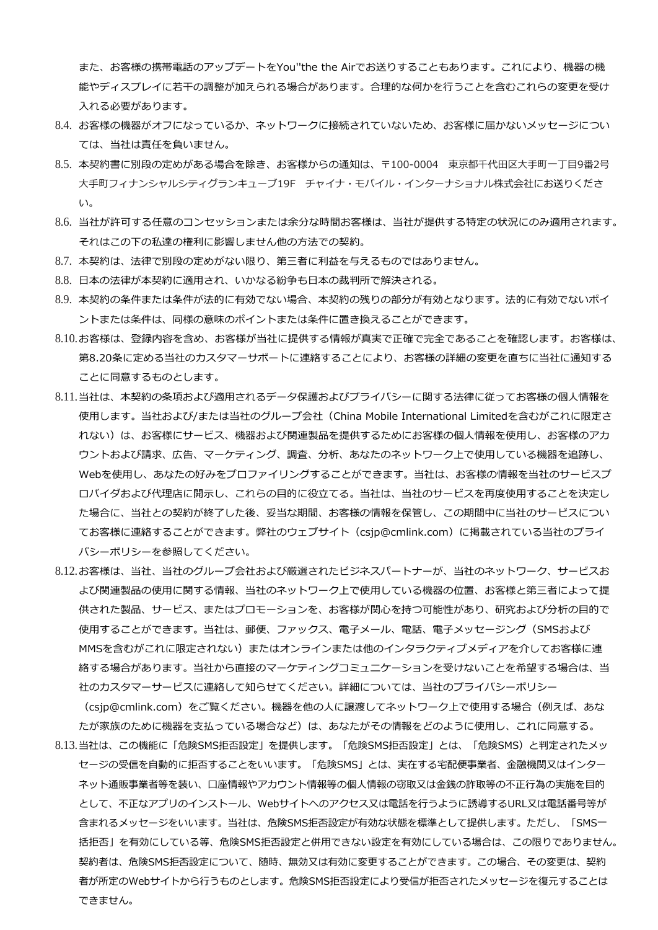また、お客様の携帯電話のアップデートをYou''the the Airでお送りすることもあります。これにより、機器の機 能やディスプレイに若干の調整が加えられる場合があります。合理的な何かを行うことを含むこれらの変更を受け 入れる必要があります。

- 8.4. お客様の機器がオフになっているか、ネットワークに接続されていないため、お客様に届かないメッセージについ ては、当社は責任を負いません。
- 8.5. 本契約書に別段の定めがある場合を除き、お客様からの通知は、〒100-0004 東京都千代田区大手町一丁目9番2号 大手町フィナンシャルシティグランキューブ19F チャイナ・モバイル・インターナショナル株式会社にお送りくださ い。
- 8.6. 当社が許可する任意のコンセッションまたは余分な時間お客様は、当社が提供する特定の状況にのみ適用されます。 それはこの下の私達の権利に影響しません他の方法での契約。
- 8.7. 本契約は、法律で別段の定めがない限り、第三者に利益を与えるものではありません。
- 8.8. 日本の法律が本契約に適用され、いかなる紛争も日本の裁判所で解決される。
- 8.9. 本契約の条件または条件が法的に有効でない場合、本契約の残りの部分が有効となります。法的に有効でないポイ ントまたは条件は、同様の意味のポイントまたは条件に置き換えることができます。
- 8.10.お客様は、登録内容を含め、お客様が当社に提供する情報が真実で正確で完全であることを確認します。お客様は、 第8.20条に定める当社のカスタマーサポートに連絡することにより、お客様の詳細の変更を直ちに当社に通知する ことに同意するものとします。
- 8.11.当社は、本契約の条項および適用されるデータ保護およびプライバシーに関する法律に従ってお客様の個人情報を 使用します。当社および/または当社のグループ会社(China Mobile International Limitedを含むがこれに限定さ れない)は、お客様にサービス、機器および関連製品を提供するためにお客様の個人情報を使用し、お客様のアカ ウントおよび請求、広告、マーケティング、調査、分析、あなたのネットワーク上で使用している機器を追跡し、 Webを使用し、あなたの好みをプロファイリングすることができます。当社は、お客様の情報を当社のサービスプ ロバイダおよび代理店に開示し、これらの目的に役立てる。当社は、当社のサービスを再度使用することを決定し た場合に、当社との契約が終了した後、妥当な期間、お客様の情報を保管し、この期間中に当社のサービスについ てお客様に連絡することができます。弊社のウェブサイト(csjp@cmlink.com)に掲載されている当社のプライ バシーポリシーを参照してください。
- 8.12.お客様は、当社、当社のグループ会社および厳選されたビジネスパートナーが、当社のネットワーク、サービスお よび関連製品の使用に関する情報、当社のネットワーク上で使用している機器の位置、お客様と第三者によって提 供された製品、サービス、またはプロモーションを、お客様が関心を持つ可能性があり、研究および分析の目的で 使用することができます。当社は、郵便、ファックス、電子メール、電話、電子メッセージング(SMSおよび MMSを含むがこれに限定されない)またはオンラインまたは他のインタラクティブメディアを介してお客様に連 絡する場合があります。当社から直接のマーケティングコミュニケーションを受けないことを希望する場合は、当 社のカスタマーサービスに連絡して知らせてください。詳細については、当社のプライバシーポリシー

(csjp@cmlink.com)をご覧ください。機器を他の人に譲渡してネットワーク上で使用する場合(例えば、あな たが家族のために機器を支払っている場合など)は、あなたがその情報をどのように使用し、これに同意する。

8.13.当社は、この機能に「危険SMS拒否設定」を提供します。「危険SMS拒否設定」とは、「危険SMS)と判定されたメッ セージの受信を自動的に拒否することをいいます。「危険SMS」とは、実在する宅配便事業者、金融機関又はインター ネット通販事業者等を装い、口座情報やアカウント情報等の個人情報の窃取又は金銭の詐取等の不正行為の実施を目的 として、不正なアプリのインストール、Webサイトへのアクセス又は電話を行うように誘導するURL又は電話番号等が 含まれるメッセージをいいます。当社は、危険SMS拒否設定が有効な状態を標準として提供します。ただし、「SMS一 括拒否」を有効にしている等、危険SMS拒否設定と併用できない設定を有効にしている場合は、この限りでありません。 契約者は、危険SMS拒否設定について、随時、無効又は有効に変更することができます。この場合、その変更は、契約 者が所定のWebサイトから行うものとします。危険SMS拒否設定により受信が拒否されたメッセージを復元することは できません。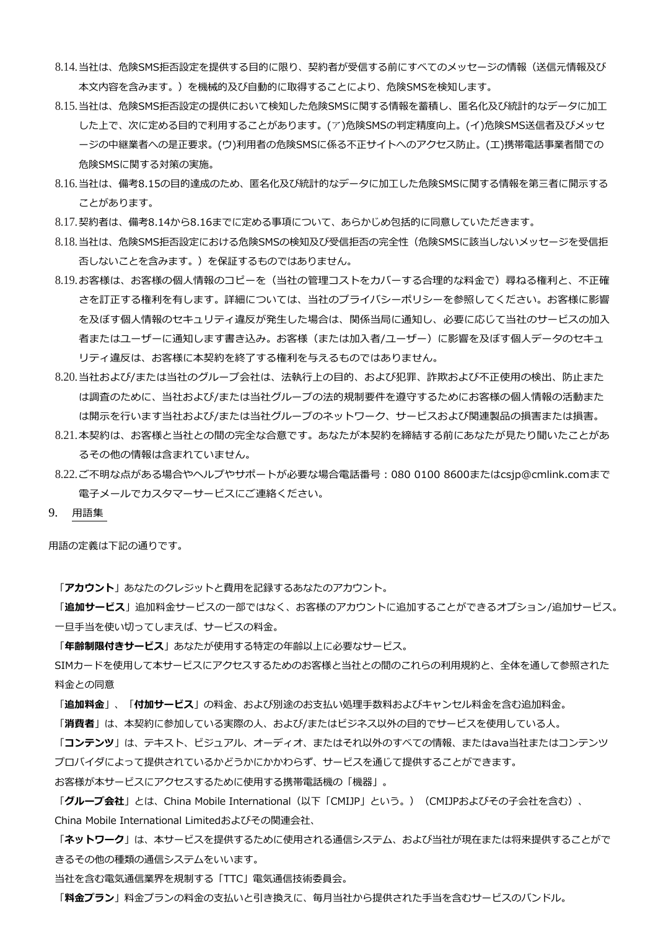- 8.14.当社は、危険SMS拒否設定を提供する目的に限り、契約者が受信する前にすべてのメッセージの情報(送信元情報及び 本文内容を含みます。)を機械的及び自動的に取得することにより、危険SMSを検知します。
- 8.15.当社は、危険SMS拒否設定の提供において検知した危険SMSに関する情報を蓄積し、匿名化及び統計的なデータに加工 した上で、次に定める目的で利用することがあります。(ア)危険SMSの判定精度向上。(イ)危険SMS送信者及びメッセ ージの中継業者への是正要求。(ウ)利用者の危険SMSに係る不正サイトへのアクセス防止。(エ)携帯電話事業者間での 危険SMSに関する対策の実施。
- 8.16.当社は、備考8.15の目的達成のため、匿名化及び統計的なデータに加工した危険SMSに関する情報を第三者に開示する ことがあります。
- 8.17.契約者は、備考8.14から8.16までに定める事項について、あらかじめ包括的に同意していただきます。
- 8.18.当社は、危険SMS拒否設定における危険SMSの検知及び受信拒否の完全性(危険SMSに該当しないメッセージを受信拒 否しないことを含みます。)を保証するものではありません。
- 8.19.お客様は、お客様の個人情報のコピーを(当社の管理コストをカバーする合理的な料金で)尋ねる権利と、不正確 さを訂正する権利を有します。詳細については、当社のプライバシーポリシーを参照してください。お客様に影響 を及ぼす個人情報のセキュリティ違反が発生した場合は、関係当局に通知し、必要に応じて当社のサービスの加入 者またはユーザーに通知します書き込み。お客様(または加入者/ユーザー)に影響を及ぼす個人データのセキュ リティ違反は、お客様に本契約を終了する権利を与えるものではありません。
- 8.20.当社および/または当社のグループ会社は、法執行上の目的、および犯罪、詐欺および不正使用の検出、防止また は調査のために、当社および/または当社グループの法的規制要件を遵守するためにお客様の個人情報の活動また は開示を行います当社および/または当社グループのネットワーク、サービスおよび関連製品の損害または損害。
- 8.21.本契約は、お客様と当社との間の完全な合意です。あなたが本契約を締結する前にあなたが見たり聞いたことがあ るその他の情報は含まれていません。
- 8.22.ご不明な点がある場合やヘルプやサポートが必要な場合電話番号:080 0100 8600またはcsjp@cmlink.comまで 電子メールでカスタマーサービスにご連絡ください。
- 9. 用語集

用語の定義は下記の通りです。

「**アカウント**」あなたのクレジットと費用を記録するあなたのアカウント。

「**追加サービス**」追加料金サービスの一部ではなく、お客様のアカウントに追加することができるオプション/追加サービス。 一旦手当を使い切ってしまえば、サービスの料金。

「**年齢制限付きサービス**」あなたが使用する特定の年齢以上に必要なサービス。

SIMカードを使用して本サービスにアクセスするためのお客様と当社との間のこれらの利用規約と、全体を通して参照された 料金との同意

「**追加料金**」、「**付加サービス**」の料金、および別途のお支払い処理手数料およびキャンセル料金を含む追加料金。

「**消費者**」は、本契約に参加している実際の人、および/またはビジネス以外の目的でサービスを使用している人。

「**コンテンツ**」は、テキスト、ビジュアル、オーディオ、またはそれ以外のすべての情報、またはava当社またはコンテンツ プロバイダによって提供されているかどうかにかかわらず、サービスを通じて提供することができます。

お客様が本サービスにアクセスするために使用する携帯電話機の「機器」。

「**グループ会社**」とは、China Mobile International(以下「CMIJP」という。)(CMIJPおよびその子会社を含む)、 China Mobile International Limitedおよびその関連会社、

「**ネットワーク**」は、本サービスを提供するために使用される通信システム、および当社が現在または将来提供することがで きるその他の種類の通信システムをいいます。

当社を含む電気通信業界を規制する「TTC」電気通信技術委員会。

「**料金プラン**」料金プランの料金の支払いと引き換えに、毎月当社から提供された手当を含むサービスのバンドル。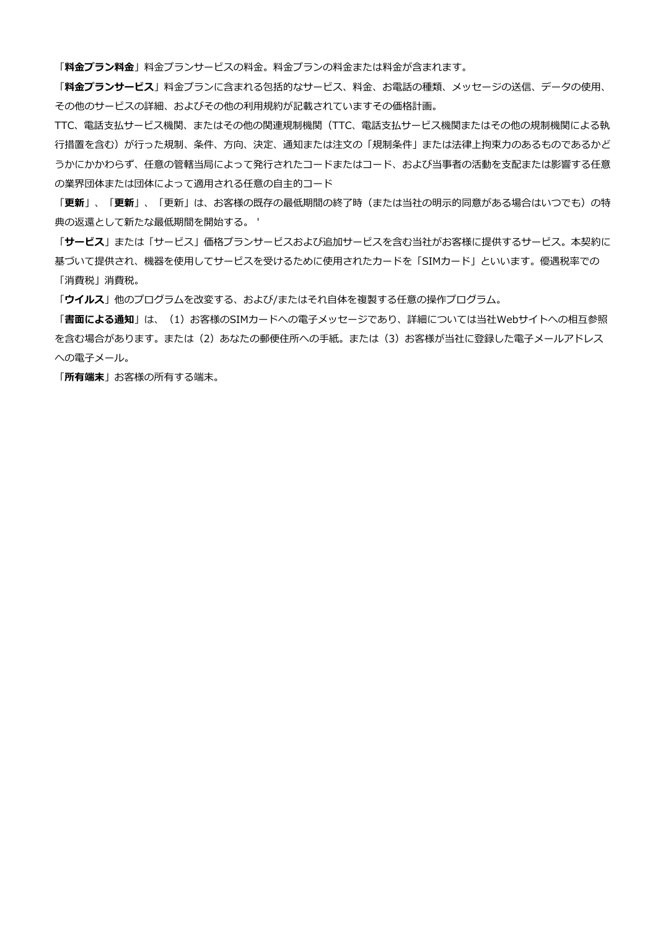「**料金プラン料金**」料金プランサービスの料金。料金プランの料金または料金が含まれます。

「**料金プランサービス**」料金プランに含まれる包括的なサービス、料金、お電話の種類、メッセージの送信、データの使用、 その他のサービスの詳細、およびその他の利用規約が記載されていますその価格計画。

TTC、電話支払サービス機関、またはその他の関連規制機関(TTC、電話支払サービス機関またはその他の規制機関による執 行措置を含む)が行った規制、条件、方向、決定、通知または注文の「規制条件」または法律上拘束力のあるものであるかど うかにかかわらず、任意の管轄当局によって発行されたコードまたはコード、および当事者の活動を支配または影響する任意 の業界団体または団体によって適用される任意の自主的コード

「**更新**」、「**更新**」、「更新」は、お客様の既存の最低期間の終了時(または当社の明示的同意がある場合はいつでも)の特 典の返還として新たな最低期間を開始する。 '

「**サービス**」または「サービス」価格プランサービスおよび追加サービスを含む当社がお客様に提供するサービス。本契約に 基づいて提供され、機器を使用してサービスを受けるために使用されたカードを「SIMカード」といいます。優遇税率での 「消費税」消費税。

「**ウイルス**」他のプログラムを改変する、および/またはそれ自体を複製する任意の操作プログラム。

「**書面による通知」**は、(1)お客様のSIMカードへの電子メッセージであり、詳細については当社Webサイトへの相互参照 を含む場合があります。または(2)あなたの郵便住所への手紙。または(3)お客様が当社に登録した電子メールアドレス への電子メール。

「**所有端末**」お客様の所有する端末。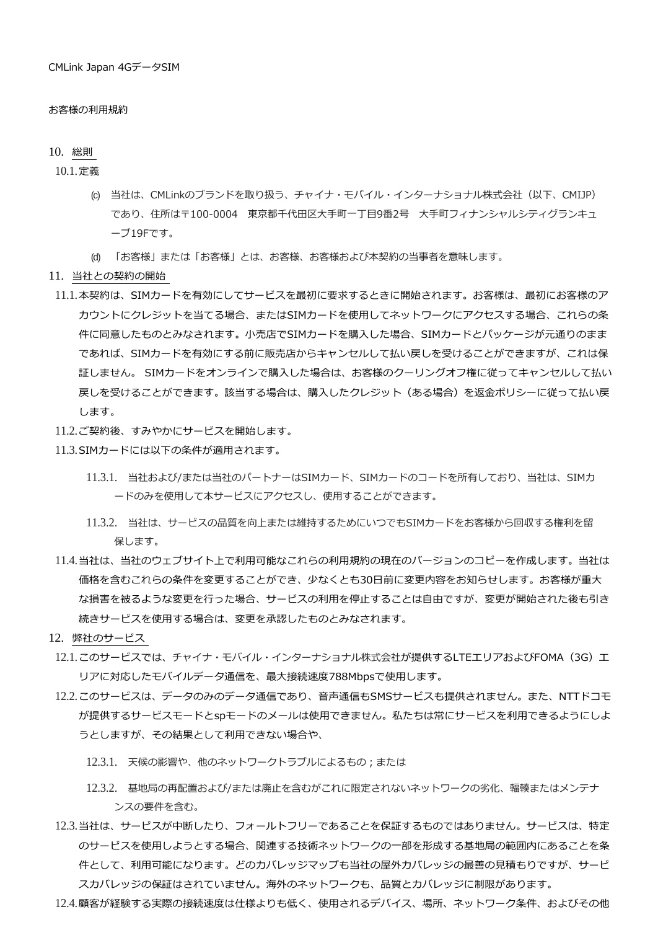#### お客様の利用規約

#### 10. 総則

10.1.定義

- (c) 当社は、CMLinkのブランドを取り扱う、チャイナ・モバイル・インターナショナル株式会社(以下、CMIJP) であり、住所は〒100-0004 東京都千代田区大手町一丁目9番2号 大手町フィナンシャルシティグランキュ ーブ19Fです。
- (d) 「お客様」または「お客様」とは、お客様、お客様および本契約の当事者を意味します。
- 11. 当社との契約の開始
- 11.1.本契約は、SIMカードを有効にしてサービスを最初に要求するときに開始されます。お客様は、最初にお客様のア カウントにクレジットを当てる場合、またはSIMカードを使用してネットワークにアクセスする場合、これらの条 件に同意したものとみなされます。小売店でSIMカードを購入した場合、SIMカードとパッケージが元通りのまま であれば、SIMカードを有効にする前に販売店からキャンセルして払い戻しを受けることができますが、これは保 証しません。 SIMカードをオンラインで購入した場合は、お客様のクーリングオフ権に従ってキャンセルして払い 戻しを受けることができます。該当する場合は、購入したクレジット(ある場合)を返金ポリシーに従って払い戻 します。
- 11.2.ご契約後、すみやかにサービスを開始します。
- 11.3.SIMカードには以下の条件が適用されます。
	- 11.3.1. 当社および/または当社のパートナーはSIMカード、SIMカードのコードを所有しており、当社は、SIMカ ードのみを使用して本サービスにアクセスし、使用することができます。
	- 11.3.2. 当社は、サービスの品質を向上または維持するためにいつでもSIMカードをお客様から回収する権利を留 保します。
- 11.4.当社は、当社のウェブサイト上で利用可能なこれらの利用規約の現在のバージョンのコピーを作成します。当社は 価格を含むこれらの条件を変更することができ、少なくとも30日前に変更内容をお知らせします。お客様が重大 な損害を被るような変更を行った場合、サービスの利用を停止することは自由ですが、変更が開始された後も引き 続きサービスを使用する場合は、変更を承認したものとみなされます。
- 12. 弊社のサービス
- 12.1.このサービスでは、チャイナ・モバイル・インターナショナル株式会社が提供するLTEエリアおよびFOMA (3G) エ リアに対応したモバイルデータ通信を、最大接続速度788Mbpsで使用します。
- 12.2.このサービスは、データのみのデータ通信であり、音声通信もSMSサービスも提供されません。また、NTTドコモ が提供するサービスモードとspモードのメールは使用できません。私たちは常にサービスを利用できるようにしよ うとしますが、その結果として利用できない場合や、
	- 12.3.1. 天候の影響や、他のネットワークトラブルによるもの;または
	- 12.3.2. 基地局の再配置および/または廃止を含むがこれに限定されないネットワークの劣化、輻輳またはメンテナ ンスの要件を含む。
- 12.3.当社は、サービスが中断したり、フォールトフリーであることを保証するものではありません。サービスは、特定 のサービスを使用しようとする場合、関連する技術ネットワークの一部を形成する基地局の範囲内にあることを条 件として、利用可能になります。どのカバレッジマップも当社の屋外カバレッジの最善の見積もりですが、サービ スカバレッジの保証はされていません。海外のネットワークも、品質とカバレッジに制限があります。
- 12.4.顧客が経験する実際の接続速度は仕様よりも低く、使用されるデバイス、場所、ネットワーク条件、およびその他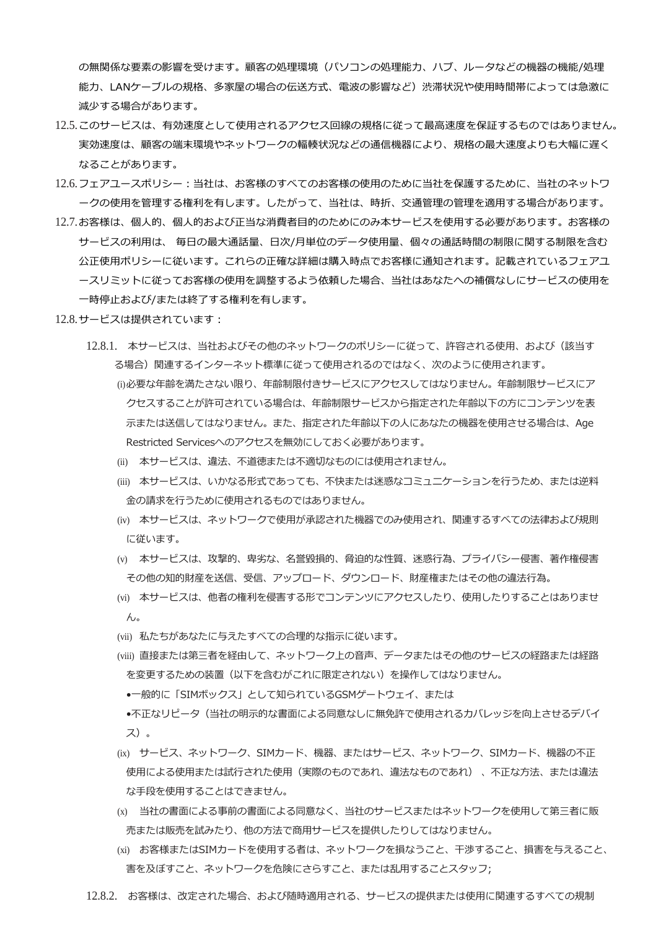の無関係な要素の影響を受けます。顧客の処理環境(パソコンの処理能力、ハブ、ルータなどの機器の機能/処理 能力、LANケーブルの規格、多家屋の場合の伝送方式、電波の影響など)渋滞状況や使用時間帯によっては急激に 減少する場合があります。

- 12.5.このサービスは、有効速度として使用されるアクセス回線の規格に従って最高速度を保証するものではありません。 実効速度は、顧客の端末環境やネットワークの輻輳状況などの通信機器により、規格の最大速度よりも大幅に遅く なることがあります。
- 12.6.フェアユースポリシー:当社は、お客様のすべてのお客様の使用のために当社を保護するために、当社のネットワ ークの使用を管理する権利を有します。したがって、当社は、時折、交通管理の管理を適用する場合があります。
- 12.7.お客様は、個人的、個人的および正当な消費者目的のためにのみ本サービスを使用する必要があります。お客様の サービスの利用は、 毎日の最大通話量、日次/月単位のデータ使用量、個々の通話時間の制限に関する制限を含む 公正使用ポリシーに従います。これらの正確な詳細は購入時点でお客様に通知されます。記載されているフェアユ ースリミットに従ってお客様の使用を調整するよう依頼した場合、当社はあなたへの補償なしにサービスの使用を 一時停止および/または終了する権利を有します。
- 12.8.サービスは提供されています:
	- 12.8.1. 本サービスは、当社およびその他のネットワークのポリシーに従って、許容される使用、および(該当す る場合)関連するインターネット標準に従って使用されるのではなく、次のように使用されます。 (i)必要な年齢を満たさない限り、年齢制限付きサービスにアクセスしてはなりません。年齢制限サービスにア クセスすることが許可されている場合は、年齢制限サービスから指定された年齢以下の方にコンテンツを表 示または送信してはなりません。また、指定された年齢以下の人にあなたの機器を使用させる場合は、Age Restricted Servicesへのアクセスを無効にしておく必要があります。
		- (ii) 本サービスは、違法、不道徳または不適切なものには使用されません。
		- (iii) 本サービスは、いかなる形式であっても、不快または迷惑なコミュニケーションを行うため、または逆料 金の請求を行うために使用されるものではありません。
		- (iv) 本サービスは、ネットワークで使用が承認された機器でのみ使用され、関連するすべての法律および規則 に従います。
		- (v) 本サービスは、攻撃的、卑劣な、名誉毀損的、脅迫的な性質、迷惑行為、プライバシー侵害、著作権侵害 その他の知的財産を送信、受信、アップロード、ダウンロード、財産権またはその他の違法行為。
		- (vi) 本サービスは、他者の権利を侵害する形でコンテンツにアクセスしたり、使用したりすることはありませ ん。
		- (vii) 私たちがあなたに与えたすべての合理的な指示に従います。
		- (viii) 直接または第三者を経由して、ネットワーク上の音声、データまたはその他のサービスの経路または経路 を変更するための装置(以下を含むがこれに限定されない)を操作してはなりません。
			- •一般的に「SIMボックス」として知られているGSMゲートウェイ、または
		- •不正なリピータ(当社の明示的な書面による同意なしに無免許で使用されるカバレッジを向上させるデバイ ス)。
		- (ix) サービス、ネットワーク、SIMカード、機器、またはサービス、ネットワーク、SIMカード、機器の不正 使用による使用または試行された使用(実際のものであれ、違法なものであれ) 、不正な方法、または違法 な手段を使用することはできません。
		- (x) 当社の書面による事前の書面による同意なく、当社のサービスまたはネットワークを使用して第三者に販 売または販売を試みたり、他の方法で商用サービスを提供したりしてはなりません。
		- (xi) お客様またはSIMカードを使用する者は、ネットワークを損なうこと、干渉すること、損害を与えること、 害を及ぼすこと、ネットワークを危険にさらすこと、または乱用することスタッフ;
	- 12.8.2. お客様は、改定された場合、および随時適用される、サービスの提供または使用に関連するすべての規制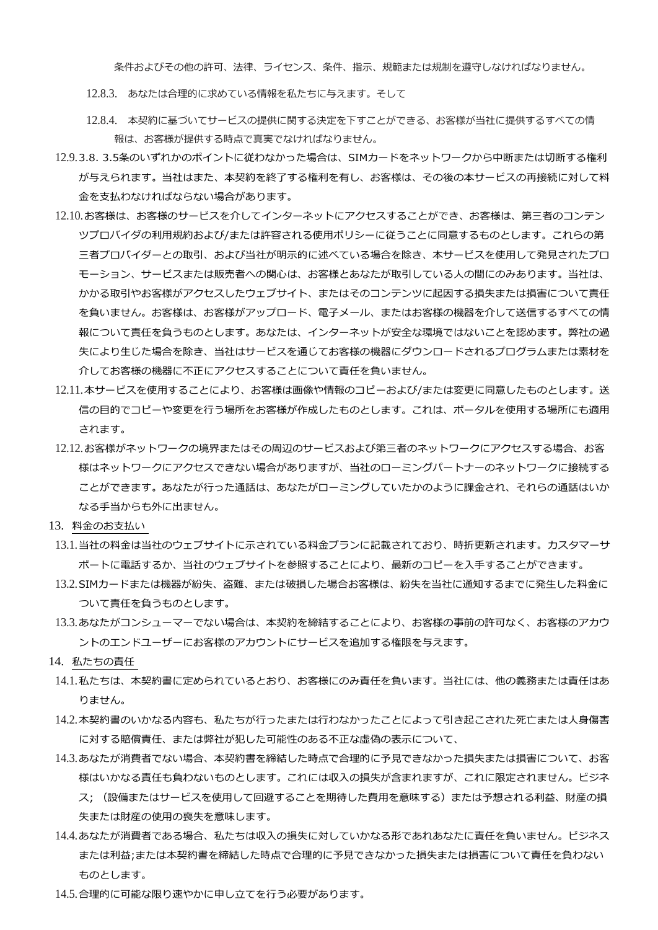条件およびその他の許可、法律、ライセンス、条件、指示、規範または規制を遵守しなければなりません。

- 12.8.3. あなたは合理的に求めている情報を私たちに与えます。そして
- 12.8.4. 本契約に基づいてサービスの提供に関する決定を下すことができる、お客様が当社に提供するすべての情 報は、お客様が提供する時点で真実でなければなりません。
- 12.9.3.8. 3.5条のいずれかのポイントに従わなかった場合は、SIMカードをネットワークから中断または切断する権利 が与えられます。当社はまた、本契約を終了する権利を有し、お客様は、その後の本サービスの再接続に対して料 金を支払わなければならない場合があります。
- 12.10.お客様は、お客様のサービスを介してインターネットにアクセスすることができ、お客様は、第三者のコンテン ツプロバイダの利用規約および/または許容される使用ポリシーに従うことに同意するものとします。これらの第 三者プロバイダーとの取引、および当社が明示的に述べている場合を除き、本サービスを使用して発見されたプロ モーション、サービスまたは販売者への関心は、お客様とあなたが取引している人の間にのみあります。当社は、 かかる取引やお客様がアクセスしたウェブサイト、またはそのコンテンツに起因する損失または損害について責任 を負いません。お客様は、お客様がアップロード、電子メール、またはお客様の機器を介して送信するすべての情 報について責任を負うものとします。あなたは、インターネットが安全な環境ではないことを認めます。弊社の過 失により生じた場合を除き、当社はサービスを通じてお客様の機器にダウンロードされるプログラムまたは素材を 介してお客様の機器に不正にアクセスすることについて責任を負いません。
- 12.11.本サービスを使用することにより、お客様は画像や情報のコピーおよび/または変更に同意したものとします。送 信の目的でコピーや変更を行う場所をお客様が作成したものとします。これは、ポータルを使用する場所にも適用 されます。
- 12.12.お客様がネットワークの境界またはその周辺のサービスおよび第三者のネットワークにアクセスする場合、お客 様はネットワークにアクセスできない場合がありますが、当社のローミングパートナーのネットワークに接続する ことができます。あなたが行った通話は、あなたがローミングしていたかのように課金され、それらの通話はいか なる手当からも外に出ません。
- 13. 料金のお支払い
- 13.1.当社の料金は当社のウェブサイトに示されている料金プランに記載されており、時折更新されます。カスタマーサ ポートに電話するか、当社のウェブサイトを参照することにより、最新のコピーを入手することができます。
- 13.2.SIMカードまたは機器が紛失、盗難、または破損した場合お客様は、紛失を当社に通知するまでに発生した料金に ついて責任を負うものとします。
- 13.3.あなたがコンシューマーでない場合は、本契約を締結することにより、お客様の事前の許可なく、お客様のアカウ ントのエンドユーザーにお客様のアカウントにサービスを追加する権限を与えます。
- 14. 私たちの責任
- 14.1.私たちは、本契約書に定められているとおり、お客様にのみ責任を負います。当社には、他の義務または責任はあ りません。
- 14.2.本契約書のいかなる内容も、私たちが行ったまたは行わなかったことによって引き起こされた死亡または人身傷害 に対する賠償責任、または弊社が犯した可能性のある不正な虚偽の表示について、
- 14.3.あなたが消費者でない場合、本契約書を締結した時点で合理的に予見できなかった損失または損害について、お客 様はいかなる責任も負わないものとします。これには収入の損失が含まれますが、これに限定されません。ビジネ ス; (設備またはサービスを使用して回避することを期待した費用を意味する)または予想される利益、財産の損 失または財産の使用の喪失を意味します。
- 14.4.あなたが消費者である場合、私たちは収入の損失に対していかなる形であれあなたに責任を負いません。ビジネス または利益;または本契約書を締結した時点で合理的に予見できなかった損失または損害について責任を負わない ものとします。
- 14.5.合理的に可能な限り速やかに申し立てを行う必要があります。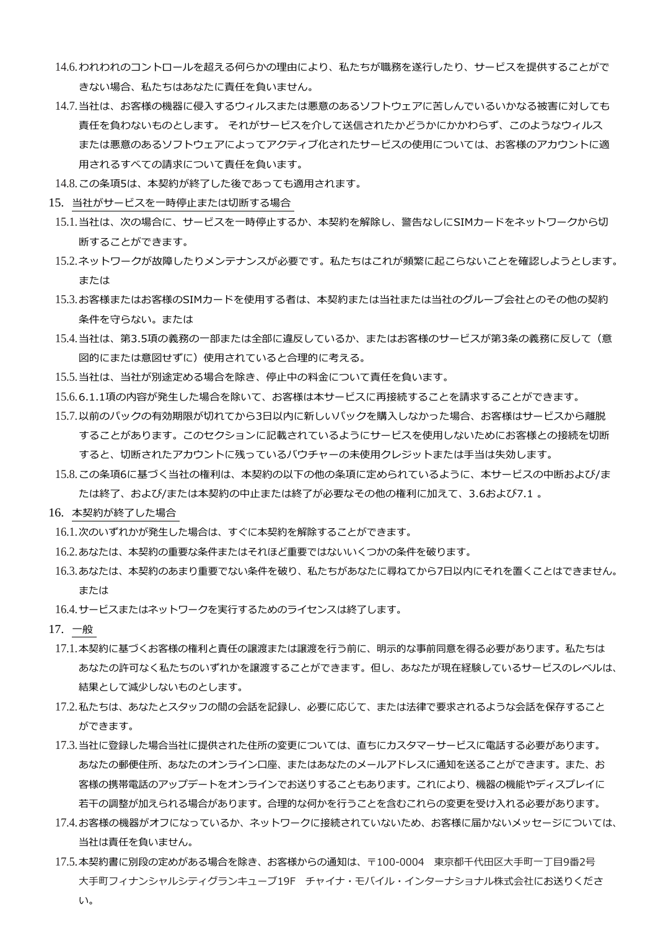- 14.6.われわれのコントロールを超える何らかの理由により、私たちが職務を遂行したり、サービスを提供することがで きない場合、私たちはあなたに責任を負いません。
- 14.7.当社は、お客様の機器に侵入するウィルスまたは悪意のあるソフトウェアに苦しんでいるいかなる被害に対しても 責任を負わないものとします。 それがサービスを介して送信されたかどうかにかかわらず、このようなウィルス または悪意のあるソフトウェアによってアクティブ化されたサービスの使用については、お客様のアカウントに適 用されるすべての請求について責任を負います。
- 14.8.この条項5は、本契約が終了した後であっても適用されます。
- 15. 当社がサービスを一時停止または切断する場合
- 15.1.当社は、次の場合に、サービスを一時停止するか、本契約を解除し、警告なしにSIMカードをネットワークから切 断することができます。
- 15.2.ネットワークが故障したりメンテナンスが必要です。私たちはこれが頻繁に起こらないことを確認しようとします。 または
- 15.3.お客様またはお客様のSIMカードを使用する者は、本契約または当社または当社のグループ会社とのその他の契約 条件を守らない。または
- 15.4.当社は、第3.5項の義務の一部または全部に違反しているか、またはお客様のサービスが第3条の義務に反して(意 図的にまたは意図せずに)使用されていると合理的に考える。
- 15.5.当社は、当社が別途定める場合を除き、停止中の料金について責任を負います。
- 15.6.6.1.1項の内容が発生した場合を除いて、お客様は本サービスに再接続することを請求することができます。
- 15.7.以前のパックの有効期限が切れてから3日以内に新しいパックを購入しなかった場合、お客様はサービスから離脱 することがあります。このセクションに記載されているようにサービスを使用しないためにお客様との接続を切断 すると、切断されたアカウントに残っているバウチャーの未使用クレジットまたは手当は失効します。
- 15.8.この条項6に基づく当社の権利は、本契約の以下の他の条項に定められているように、本サービスの中断および/ま たは終了、および/または本契約の中止または終了が必要なその他の権利に加えて、3.6および7.1 。
- 16. 本契約が終了した場合
- 16.1.次のいずれかが発生した場合は、すぐに本契約を解除することができます。
- 16.2.あなたは、本契約の重要な条件またはそれほど重要ではないいくつかの条件を破ります。
- 16.3.あなたは、本契約のあまり重要でない条件を破り、私たちがあなたに尋ねてから7日以内にそれを置くことはできません。 または
- 16.4.サービスまたはネットワークを実行するためのライセンスは終了します。
- 17. 一般
- 17.1.本契約に基づくお客様の権利と責任の譲渡または譲渡を行う前に、明示的な事前同意を得る必要があります。私たちは あなたの許可なく私たちのいずれかを譲渡することができます。但し、あなたが現在経験しているサービスのレベルは、 結果として減少しないものとします。
- 17.2.私たちは、あなたとスタッフの間の会話を記録し、必要に応じて、または法律で要求されるような会話を保存すること ができます。
- 17.3.当社に登録した場合当社に提供された住所の変更については、直ちにカスタマーサービスに電話する必要があります。 あなたの郵便住所、あなたのオンライン口座、またはあなたのメールアドレスに通知を送ることができます。また、お 客様の携帯電話のアップデートをオンラインでお送りすることもあります。これにより、機器の機能やディスプレイに 若干の調整が加えられる場合があります。合理的な何かを行うことを含むこれらの変更を受け入れる必要があります。
- 17.4.お客様の機器がオフになっているか、ネットワークに接続されていないため、お客様に届かないメッセージについては、 当社は責任を負いません。
- 17.5.本契約書に別段の定めがある場合を除き、お客様からの通知は、〒100-0004 東京都千代田区大手町一丁目9番2号 大手町フィナンシャルシティグランキューブ19F チャイナ・モバイル・インターナショナル株式会社にお送りくださ い。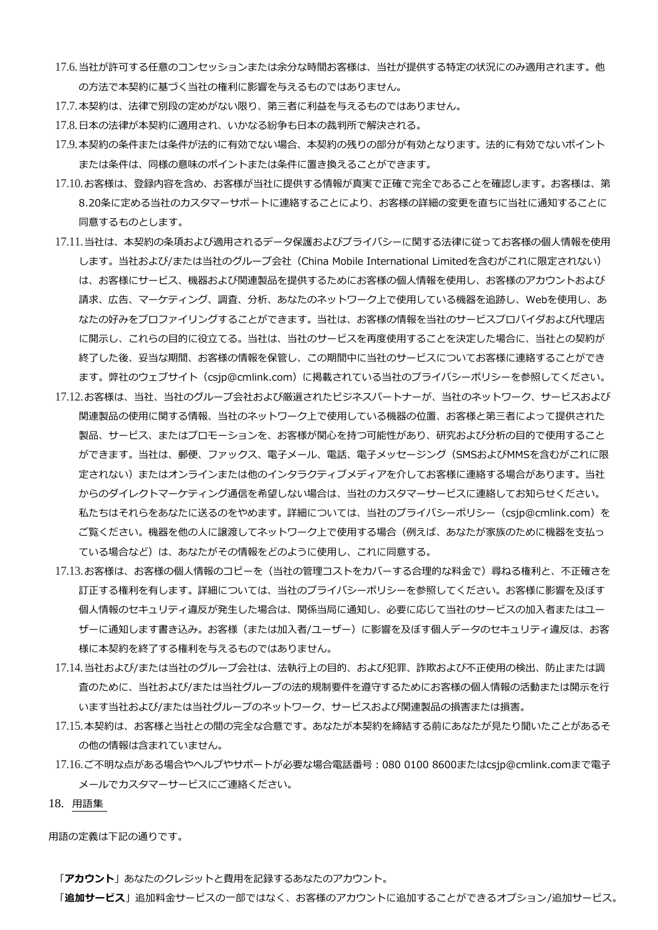- 17.6.当社が許可する任意のコンセッションまたは余分な時間お客様は、当社が提供する特定の状況にのみ適用されます。他 の方法で本契約に基づく当社の権利に影響を与えるものではありません。
- 17.7.本契約は、法律で別段の定めがない限り、第三者に利益を与えるものではありません。
- 17.8.日本の法律が本契約に適用され、いかなる紛争も日本の裁判所で解決される。
- 17.9.本契約の条件または条件が法的に有効でない場合、本契約の残りの部分が有効となります。法的に有効でないポイント または条件は、同様の意味のポイントまたは条件に置き換えることができます。
- 17.10.お客様は、登録内容を含め、お客様が当社に提供する情報が真実で正確で完全であることを確認します。お客様は、第 8.20条に定める当社のカスタマーサポートに連絡することにより、お客様の詳細の変更を直ちに当社に通知することに 同意するものとします。
- 17.11.当社は、本契約の条項および適用されるデータ保護およびプライバシーに関する法律に従ってお客様の個人情報を使用 します。当社および/または当社のグループ会社(China Mobile International Limitedを含むがこれに限定されない) は、お客様にサービス、機器および関連製品を提供するためにお客様の個人情報を使用し、お客様のアカウントおよび 請求、広告、マーケティング、調査、分析、あなたのネットワーク上で使用している機器を追跡し、Webを使用し、あ なたの好みをプロファイリングすることができます。当社は、お客様の情報を当社のサービスプロバイダおよび代理店 に開示し、これらの目的に役立てる。当社は、当社のサービスを再度使用することを決定した場合に、当社との契約が 終了した後、妥当な期間、お客様の情報を保管し、この期間中に当社のサービスについてお客様に連絡することができ ます。弊社のウェブサイト(csjp@cmlink.com)に掲載されている当社のプライバシーポリシーを参照してください。
- 17.12.お客様は、当社、当社のグループ会社および厳選されたビジネスパートナーが、当社のネットワーク、サービスおよび 関連製品の使用に関する情報、当社のネットワーク上で使用している機器の位置、お客様と第三者によって提供された 製品、サービス、またはプロモーションを、お客様が関心を持つ可能性があり、研究および分析の目的で使用すること ができます。当社は、郵便、ファックス、電子メール、電話、電子メッセージング(SMSおよびMMSを含むがこれに限 定されない)またはオンラインまたは他のインタラクティブメディアを介してお客様に連絡する場合があります。当社 からのダイレクトマーケティング通信を希望しない場合は、当社のカスタマーサービスに連絡してお知らせください。 私たちはそれらをあなたに送るのをやめます。詳細については、当社のプライバシーポリシー(csjp@cmlink.com)を ご覧ください。機器を他の人に譲渡してネットワーク上で使用する場合(例えば、あなたが家族のために機器を支払っ ている場合など)は、あなたがその情報をどのように使用し、これに同意する。
- 17.13.お客様は、お客様の個人情報のコピーを(当社の管理コストをカバーする合理的な料金で)尋ねる権利と、不正確さを 訂正する権利を有します。詳細については、当社のプライバシーポリシーを参照してください。お客様に影響を及ぼす 個人情報のセキュリティ違反が発生した場合は、関係当局に通知し、必要に応じて当社のサービスの加入者またはユー ザーに通知します書き込み。お客様(または加入者/ユーザー)に影響を及ぼす個人データのセキュリティ違反は、お客 様に本契約を終了する権利を与えるものではありません。
- 17.14.当社および/または当社のグループ会社は、法執行上の目的、および犯罪、詐欺および不正使用の検出、防止または調 査のために、当社および/または当社グループの法的規制要件を遵守するためにお客様の個人情報の活動または開示を行 います当社および/または当社グループのネットワーク、サービスおよび関連製品の損害または損害。
- 17.15.本契約は、お客様と当社との間の完全な合意です。あなたが本契約を締結する前にあなたが見たり聞いたことがあるそ の他の情報は含まれていません。
- 17.16.ご不明な点がある場合やヘルプやサポートが必要な場合電話番号:080 0100 8600またはcsjp@cmlink.comまで電子 メールでカスタマーサービスにご連絡ください。
- 18. 用語集

用語の定義は下記の通りです。

「**アカウント**」あなたのクレジットと費用を記録するあなたのアカウント。

「**追加サービス**」追加料金サービスの一部ではなく、お客様のアカウントに追加することができるオプション/追加サービス。